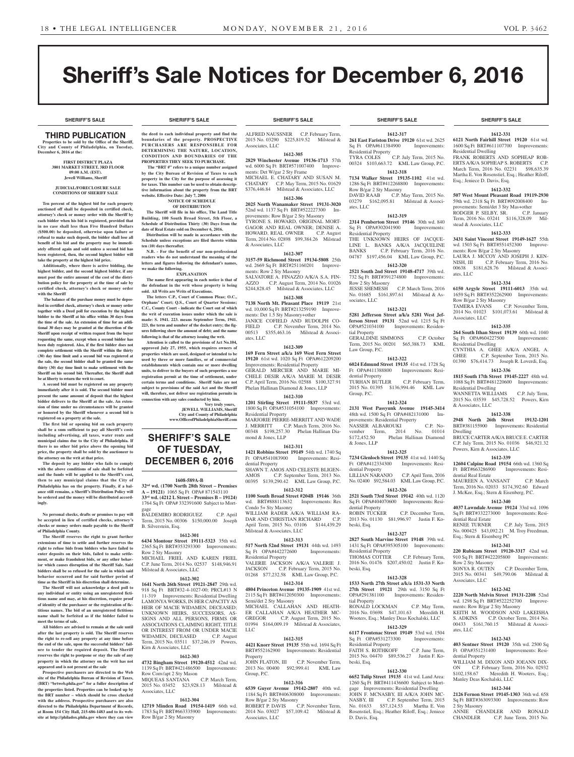**SHERIFF'S SALE SHERIFF'S SALE SHERIFF'S SALE SHERIFF'S SALE SHERIFF'S SALE**

**1612-331 6121 North Fairhill Street 19120** 61st wd. 1600 Sq Ft BRT#611107700 Improvements:

FRANK ROBERTS AND SOPHEAP ROB-ERTS A/K/A SOPHEAP S. ROBERTS C.P. March Term, 2016 No. 02231 \$98,635.39 Martha E. Von Rosenstiel, Esq.; Heather Riloff,

**1612-332 507 West Mount Pleasant Road 19119-2930**  59th wd. 2318 Sq Ft BRT#092008400 Improvements: Semi/det 3 Sty Mas+other<br>RODGER P. SELBY, SR. C.P. January

Term, 2016 No. 03241 \$116,328.09 Mil-

**1612-333 3431 Saint Vincent Street 19149-1627** 55th wd. 1503 Sq Ft BRT#551452300 Improve-

LAURA J. MCCOY AND JOSEPH J. KEN-NISH, III C.P. February Term, 2016 No. 00638 \$181,628.76 Milstead & Associ-

**1612-334 6150 Argyle Street 19111-6013** 35th wd. 1659 Sq Ft BRT#352262900 Improvements:

TAMERA EVANS C.P. November Term, 2014 No. 01023 \$101,073.61 Milstead &

**1612-335 264 South Ithan Street 19139** 60th wd. 1040<br>Sq Ft OPA#604227500 Improvements:

CYNTHIA A. GHEE A/K/A ANGEL A. GHEE C.P. September Term, 2015 No. 01390 \$76,414.73 Joseph R. Loverdi, Esq. **1612-336 1815 South 17th Street 19145-2227** 48th wd. 1088 Sq Ft BRT#481220600 Improvements:

WANNETTA WILLIAMS C.P. July Term, 2015 No. 03539 \$45,728.52 Powers, Kirn

**1612-338 2948 North 26th Street 19132-1201**  BRT#381155900 Improvements: Residential

BRUCE CARTER A/K/A BRUCE E. CARTER C.P. July Term, 2015 No. 01036 \$46,921.32

**1612-339 12604 Calpine Road 19154** 66th wd. 1360 Sq Ft BRT#663286900 Improvements: Resi-

MAUREEN A. VANSANT C.P. March Term, 2016 No. 02033 \$174,392.60 Edward J. McKee, Esq.; Stern & Eisenberg, P.C. **1612-340 4037 Lawndale Avenue 19124** 33rd wd. 1096 Sq Ft BRT#332273000 Improvements: Resi-

RENEE TURNER C.P. July Term, 2015 No. 000425 \$43,092.21 M. Troy Freedman,

**1612-341 220 Rubicam Street 19120-3317** 42nd wd. 910 Sq Ft BRT#422205800 Improvements:

SONYA R. OUTEN C.P. December Term,<br>2015 No. 00341 \$49,790.06 Milstead &

**1612-342 2220 North Melvin Street 19131-2208** 52nd wd. 1298 Sq Ft BRT#522252700 Improve-

KEITH M. WOODSON AND LAKEISHA<br>S. ADKINS C.P. October Term, 2014 No.

00433 \$161,760.15 Milstead & Associ-

**1612-343 403 Sentner Street 19120** 35th wd. 2500 Sq Ft OPA#351231400 Improvements: Resi-

WILLIAM M. DIXON AND JOEANN DIX-ON C.P. February Term, 2016 No. 02932 \$102,158.67 Meredith H. Wooters, Esq.;

**1612-344 2126 Fernon Street 19145-1303** 36th wd. 658 Sq Ft BRT#363093300 Improvements: Row

ANNIE CHANDLER AND RONALD CHANDLER C.P. June Term, 2015 No.

ments: Row B/gar 2 Sty Masonry

Manley Deas Kochalski, LLC

\$49,790.06 Milstead &

C.P. October Term, 2014 No.

Powers, Kirn & Associates, LLC

Residential Dwelling

Esq.; Jeniece D. Davis, Esq.

RODGER P. SELBY, SR.

stead & Associates, LLC

Row B/gar 2 Sty Masonry

Sq Ft OPA#604227500 Residential Dwelling

Residential Dwelling

& Associates, LLC

dential Real Estate

dential Real Estate

Row 2 Sty Masonry<br>SONYA R. OUTEN

Associates, LLC

 $\epsilon$  LLC

dential Property

2 Sty Masonry

Esq.; Stern & Eisenberg PC

Dwelling

Associates, LLC

ates, LLC

ments: Row B/gar 2 Sty Masonry

# Sheriff's Sale Notices for December 6, 2016

# THIRD PUBLICATION

**Properties to be sold by the Office of the Sheriff, City and County of Philadelphia, on Tuesday, December 6, 2016 at the:** 

## **FIRST DISTRICT PLAZA 3801 MARKET STREET, 3RD FLOOR 09:00 A.M. (EST). Jewell Williams, Sheriff**

#### **JUDICIAL/FORECLOSURE SALE CONDITIONS OF SHERIFF SALE**

**Ten percent of the highest bid for each property auctioned off shall be deposited in certified check, attorney's check or money order with the Sheriff by each bidder when his bid is registered, provided that in no case shall less than Five Hundred Dollars (\$500.00) be deposited, otherwise upon failure or refusal to make such deposit, the bidder shall lose all benefit of his bid and the property may be immediately offered again and sold unless a second bid has been registered, then, the second highest bidder will take the property at the highest bid price.**

**Additionally, where there is active bidding, the highest bidder, and the second highest bidder, if any must post the entire amount of the cost of the distribution policy for the property at the time of sale by certified check, attorney's check or money order with the Sheriff**

 **The balance of the purchase money must be deposited in certified check, attorney's check or money order together with a Deed poll for execution by the highest bidder to the Sheriff at his office within 30 days from the time of the sale. An extension of time for an additional 30 days may be granted at the discretion of the Sheriff upon receipt of written request from the buyer requesting the same, except when a second bidder has been duly registered. Also, if the first bidder does not complete settlement with the Sheriff within the thirty (30) day time limit and a second bid was registered at the sale, the second bidder shall be granted the same thirty (30) day time limit to make settlement with the Sheriff on his second bid. Thereafter, the Sheriff shall be at liberty to return the writ to court.**

**A second bid must be registered on any property immediately after it is sold. The second bidder must present the same amount of deposit that the highest bidder delivers to the Sheriff at the sale. An extension of time under no circumstances will be granted or honored by the Sheriff whenever a second bid is registered on a property at the sale.** 

**The first bid or opening bid on each property shall be a sum sufficient to pay all Sheriff's costs including advertising, all taxes, water rents and municipal claims due to the City of Philadelphia. If there is no other bid price above the opening bid price, the property shall be sold by the auctioneer to the attorney on the writ at that price.**

**The deposit by any bidder who fails to comply with the above conditions of sale shall be forfeited and the funds will be applied to the Sheriff's cost, then to any municipal claims that the City of Philadelphia has on the property. Finally, if a balance still remains, a Sheriff's Distribution Policy will be ordered and the money will be distributed accordingly.**

**No personal checks, drafts or promises to pay will be accepted in lieu of certified checks, attorney's checks or money orders made payable to the Sheriff of Philadelphia County.**

**The Sheriff reserves the right to grant further extensions of time to settle and further reserves the right to refuse bids from bidders who have failed to enter deposits on their bids, failed to make settlement, or make fraudulent bids, or any other behavior which causes disruption of the Sheriff Sale. Said bidders shall be so refused for the sale in which said behavior occurred and for said further period of time as the Sheriff in his discretion shall determine.**

**The Sheriff will not acknowledge a deed poll to any individual or entity using an unregistered fictitious name and may, at his discretion, require proof of identity of the purchaser or the registration of fictitious names. The bid of an unregistered fictitious name shall be forfeited as if the bidder failed to meet the terms of sale.**

**All bidders are advised to remain at the sale until after the last property is sold. The Sheriff reserves the right to re-sell any property at any time before the end of the sale, upon the successful bidders' failure to tender the required deposit. The Sheriff reserves the right to postpone or stay the sale of any property in which the attorney on the writ has not appeared and is not present at the sale**

**Prospective purchasers are directed to the Web site of the Philadelphia Bureau of Revision of Taxes, (BRT) "brtweb.phila.gov" for a fuller description of the properties listed. Properties can be looked up by the BRT number – which should be cross checked with the address. Prospective purchasers are also directed to the Philadelphia Department of Records, at Room 154 City Hall, 215-686-1483 and to its website at http://philadox.phila.gov where they can view** 

**the deed to each individual property and find the boundaries of the property. PROSPECTIVE PURCHASERS ARE RESPONSIBLE FOR DETERMINING THE NATURE, LOCATION, CONDITION AND BOUNDARIES OF THE PROPERTIES THEY SEEK TO PURCHASE.**

 **The "BRT #" refers to a unique number assigned by the City Bureau of Revision of Taxes to each property in the City for the purpose of assessing it for taxes. This number can be used to obtain descriptive information about the property from the BRT website. Effective Date: July 7, 2006 NOTICE OF SCHEDULE** 

## **OF DISTRIBUTION**

**The Sheriff will file in his office, The Land Title Building, 100 South Broad Street, 5th Floor, a Schedule of Distribution Thirty (30) Days from the date of Real Estate sold on December 6, 2016. Distribution will be made in accordance with the** 

**Schedule unless exceptions are filed thereto within ten (10) days thereafter.**

**N.B. - For the benefit of our non-professional readers who do not understand the meaning of the letters and figures following the defendant's names, we make the following. EXPLANATION**

**The name first appearing in each notice is that of** 

**the defendant in the writ whose property is being sold. All Writs are Writs of Executions. The letters C.P., Court of Common Pleas; O.C.,** 

**Orphans' Court; O.S., Court of Quarter Session C.C., County Court - indicate the Court out of which the writ of execution issues under which the sale is made: S. 1941. 223. means September Term, 1941. 223, the term and number of the docket entry; the figures following show the amount of debt; and the name following is that of the attorney issuing the writ.**

**Attention is called to the provisions of Act No.104, approved July 27, 1955, which requires owners of properties which are used, designed or intended to be used by three or more families, or of commercial establishments which contain one or more dwelling units, to deliver to the buyers of such properties a use registration permit at the time of settlement, under certain terms and conditions. Sheriff Sales are not subject to provisions of the said Act and the Sheriff will, therefore, not deliver use registration permits in connection with any sales conducted by him.**

> **Very truly yours, JEWELL WILLIAMS, Sheriff City and County of Philadelphia www.OfficeofPhiladelphiaSheriff.com**

# **SHERIFF'S SALE OF TUESDAY, DECEMBER 6, 2016**

#### **1608-589A-B**

**32nd wd. (1700 North 28th Street – Premises A – 19121)** 1065 Sq Ft OPA# 871543110 **33rd wd. (4212 L Street – Premises B – 19124)**  1764 Sq Ft OPA# 332391600 Subject to Mort-

gage BALDEMIRO RODRIGUEZ C.P. April Term, 2015 No. 00306 \$150,000.00 Joseph B. Silverstein, Esq.

# **1612-301**

**6434 Montour Street 19111-5323** 35th wd. 2365 Sq Ft BRT#353293300 Improvements: Row 2 Sty Masonry MICHAEL FRIEL AND KAREN FRIEL C.P. June Term, 2014 No. 02537 \$148,946.91 Milstead & Associates, LLC

# **1612-302**

**1641 North 26th Street 19121-2847** 29th wd. 918 Sq Ft BRT#32-4-1027-00; PRCL#13 N 11-319 Improvements: Residential Dwelling LAMONYA WORKS, IN HER CAPACITY AS HEIR OF MACIE WIDAMEN, DECEASED; UNKNOWN HEIRS, SUCCESSORS, AS-SIGNS AND ALL PERSONS, FIRMS OR ASSOCIATIONS CLAIMING RIGHT, TITLE TEREST FROM OR UNDER MACIE<br>MEN, DECEASED C.P. August WIDAMEN, DECEASED Term, 2015 No. 03511 \$37,246.19 Powers, Kirn & Associates, LLC

#### **1612-303**

**4732 Bingham Street 19120-4512** 42nd wd. 1139 Sq Ft BRT#421486500 Improvements:

Row Conv/apt 2 Sty Mason<br>MIQUEAS SANTANA C.P. March Term, MIQUEAS SANTANA 2015 No. 03452 \$23,928.13 Milstead & Associates, LLC

# **1612-304**

**12719 Minden Road 19154-1419** 66th wd. 1783 Sq Ft BRT#663335900 Improvements: Row B/gar 2 Sty Masonry

ALFRED NAUSSNER C.P. February Term, 2015 No. 03290 \$225,819.52 Milstead & Associates, LLC

**1612-305 2829 Winchester Avenue 19136-1713** 57th wd. 6000 Sq Ft BRT#571007400 Improvements: Det W/gar 2 Sty Frame MICHAEL E. CHATARY AND SUSAN M. CHATARY C.P. May Term, 2015 No. 01629

\$376,446.84 Milstead & Associates, LLC **1612-306**

**2025 North Wanamaker Street 19131-3020**  52nd wd. 1137 Sq Ft BRT#522227300 Improvements: Row B/gar 2 Sty Masonry TYRONE S. HOWARD, ORIGINAL MORT-GAGOR AND REAL OWNER; DENISE A. HOWARD, REAL OWNER C.P. August Term, 2014 No. 02898 \$99,384.26 Milstead & Associates, LLC

#### **1612-307**

**3157-59 Richmond Street 19134-5808** 25th wd. 2669 Sq Ft BRT#251160201 Improvements: Row 2 Sty Masonry SALVATORE A. FINAZZO A/K/A S.A. FIN-AZZO C.P. August Term, 2014 No. 01026 \$244,828.45 Milstead & Associates, LLC

#### **1612-308 7138 North Mt. Pleasant Place 19119** 21st wd. 10,000 Sq Ft BRT#213259190 Improvements: Det 1.5 Sty Masonry+other JANICE COFIELD AND RUDOLPH CO-FIELD C.P. November Term, 2014 No. 00513 \$355,463.16 Milstead & Associates, LLC

**1612-309 169 Fern Street a/k/a 169 West Fern Street** 

**19120** 61st wd. 1020 Sq Ft OPA#612209200 Improvements: Residential Property GERALD MERCIER AND MARIE MI-CHELE DESIR A/K/A MARIE M. DESIR C.P. April Term, 2016 No. 02588 \$100,327.91 Phelan Hallinan Diamond & Jones, LLP

# **1612-310**

**1201 Stirling Street 19111-5837** 53rd wd. 1800 Sq Ft OPA#531054100 Improvements: Residential Property MARJORIE PIERRE-MERRITT AND WADE J. MERRITT C.P. March Term, 2016 No. 00348 \$198,257.30 Phelan Hallinan Dia-

# **1612-311**

mond & Jones, LLP

**1421 Robbins Street 19149** 54th wd. 1740 Sq Ft OPA#541083900 Improvements: Residential Property SHAWN T. AMOS AND CELESTE BLIGEN-AMOS C.P. September Term, 2013 No. 00395 \$139,290.42 KML Law Group, P.C. **1612-312**

**1100 South Broad Street #204B 19146** 36th wd. BRT#888113632 Improvements: Res Condo 5+ Sty Masonry WILLIAM RADER A/K/A WILLIAM RA-DAR AND CHRISTIAN RICHARD C.P. April Term, 2015 No. 03106 \$144,439.29 Milstead & Associates, LLC

#### **1612-313**

**517 North 52nd Street 19131** 44th wd. 1493 Sq Ft OPA#442272600 Improvements: Residential Property

VALERIE JACKSON A/K/A VALERIE J.  $CP$  February Term, 2015 No. 01268 \$77,232.58 KML Law Group, P.C.

# **1612-314**

**4804 Princeton Avenue 19135-1909** 41st wd. 2115 Sq Ft BRT#412050300 Improvements: Semi/det 2 Sty Masonry MICHAEL CALLAHAN AND HEATH-

ER CALLAHAN A/K/A HEATHER MC-<br>GREGOR C.P. August Term, 2015 No. C.P. August Term, 2015 No. 01994 \$164,009.19 Milstead & Associates,  $L<sub>0</sub>$ 

#### **1612-315**

**4421 Knorr Street 19135** 55th wd. 1694 Sq Ft BRT#552162900 Improvements: Residential Property

JOHN FLATON, III C.P. November Term, 2013 No. 00400 \$92,999.41 KML Law Group, P.C.

#### **1612-316**

**6539 Guyer Avenue 19142-2807** 40th wd. 1184 Sq Ft BRT#406308000 Improvements: Row B/gar 2 Sty Masonry ROBERT P. DAVIS C.P. November Term,

2014 No. 03027 \$57,109.42 Milstead & Associates, LLC

# **SHERIFF'S SALE SHERIFF'S SALE SHERIFF'S SALE SHERIFF'S SALE SHERIFF'S SALE**

**1612-317 261 East Fariston Drive 19120** 61st wd. 2625 Sq Ft OPA#611384900 Improvements: Residential Property

TYRA COLES C.P. July Term, 2015 No. 00324 \$103,663.72 KML Law Group, P.C. **1612-318**

**7134 Walker Street 19135-1102** 41st wd. 1286 Sq Ft BRT#412268800 Improvements: Row B/gar 2 Sty Masonry DAVID RAAB C.P. May Term, 2015 No.

03279 \$162,095.81 Milstead & Associates, LLC **1612-319**

#### **2314 Pemberton Street 19146** 30th wd. 840<br>Sq Ft OPA#302041900 Improvements: Sq Ft OPA#302041900

Residential Property THE UNKNOWN HEIRS OF JACQUE-LINE L. BANKS A/K/A JACQUELINE BANKS C.P. February Term, 2016 No.

# 04787 \$197,456.04 KML Law Group, P.C. **1612-320**

**2521 South 2nd Street 19148-4717** 39th wd. 732 Sq Ft BRT#391274800 Improvements: Row 2 Sty Masonry JESSE SHEMESH C.P. March Term, 2016<br>No. 01685 \$161,897.61 Milstead & As-\$161,897.61 Milstead & Associates, LLC

# **1612-321**

**5281 Jefferson Street a/k/a 5281 West Jefferson Street 19131** 52nd wd. 1215 Sq Ft OPA#521034100 Improvements: Residential Property GERALDINE SIMMONS C.P. October

Term, 2015 No. 00201 \$65,388.73 KML Law Group, P.C. **1612-322**

**6024 Edmund Street 19135** 41st wd. 1728 Sq<br>Ft OPA#411388800 Improvements: Resi-Ft OPA#411388800 dential Property TURHAN BUTLER C.P. February Term, 2015 No. 01395 \$136,994.46 KML Law Group, P.C.

## **1612-324**

**2131 West Passyunk Avenue 19145-3414**  48th wd. 1500 Sq Ft OPA#482131000 Improvements: Residential Property NASSER ALBAROUKI C.P. No-<br>vember Term, 2014 No. 01014 vember Term, 2014 No. 01014<br>\$172,452.50 Phelan Hallinan Diamond Phelan Hallinan Diamond & Jones, LLP

# **1612-325**

**7234 Glenloch Street 19135** 41st wd. 1440 Sq Ft OPA#412334300 Improvements: Residential Property<br>LILLIAN NARANJO C.P. April Term, 2016 No. 02400 \$92,584.03 KML Law Group, P.C.

**1612-326 2521 South 73rd Street 19142** 40th wd. 1120

Sq Ft OPA#404070600 Improvements: Residential Property<br>ROBIN TUCKER C.P. December Term, 2013 No. 01130 \$81,996.97 Justin F. Kobeski, Esq.

# **1612-327**

**2827 South Marvine Street 19148** 39th wd. 1431 Sq Ft OPA#395305100 Improvements: Residential Property THOMAS COTTER C.P. February Term, 2016 No. 01476 \$207,450.02 Justin F. Kobeski, Esq.

## **1612-328**

**1533 North 27th Street a/k/a 1531-33 North 27th Street 19121** 29th wd. 3150 Sq Ft OPA#291381100 Improvements: Residential Property RONALD LOCKMAN C.P. May Term, 2016 No. 03698 \$47,101.63 Meredith H. Wooters, Esq.; Manley Deas Kochalski, LLC

# **1612-329**

**6117 Frontenac Street 19149** 53rd wd. 1504<br>
Sq Ft OPA#531273300 Improvements: Sq Ft OPA#531273300 Residential Property FAITH S. ROTHKOFF C.P. June Term,

2015 No. 04470 \$89,536.27 Justin F. Ko-

**1612-330 6652 Tulip Street 19135** 41st wd. Land Area: 1260 Sq Ft BRT#411436600 Subject to Mortgage Improvements: Residential Dwelling JOHN F. MCNASBY, III A/K/A JOHN MC-NASBY, III C.P. September Term, 2015 No. 01633 \$57,124.53 Martha E. Von Rosenstiel, Esq.; Heather Riloff, Esq.; Jeniece

beski, Esq.

D. Davis, Esq.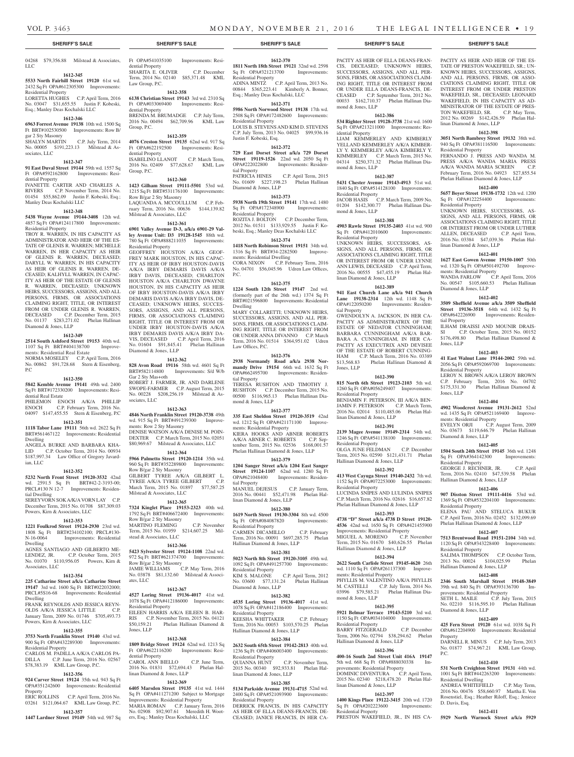LLC

mond & Jones, LLP

idential Property

mond & Jones, LLP

Residential Property

mond & Jones, LLP

Sq Ft OPA#412010600 Residential Property

linan Diamond & Jones, LLP

tial Property

Jones, LLP

Residential Property

Residential Property

Residential Property

ments: Residential Property

mond & Jones, LLP

Residential Property

linan Diamond & Jones, LLP

Hallinan Diamond & Jones, LLP

PACITY AS HEIR OF ELLA DEANS-FRAN-CIS, DECEASED; UNKNOWN HEIRS, SUCCESSORS, ASSIGNS, AND ALL PER-SONS, FIRMS, OR ASSOCIATIONS CLAIM-ING RIGHT, TITLE OR INTEREST FROM OR UNDER ELLA DEANS-FRANCIS, DE-CEASED C.P. September Term, 2012 No. 00033 \$162,710.37 Phelan Hallinan DiaPACITY AS HEIR AND HEIR OF THE ES-TATE OF PRESTON WAKEFIELD, SR.; UN-KNOWN HEIRS, SUCCESSORS, ASSIGNS, AND ALL PERSONS, FIRMS, OR ASSO-CIATIONS CLAIMING RIGHT, TITLE OR INTEREST FROM OR UNDER PRESTON WAKEFIELD, SR., DECEASED; LEONARD WAKEFIELD, IN HIS CAPACITY AS AD-MINISTRATOR OF THE ESTATE OF PRES-TON WAKEFIELD, SR. C.P. May Term, 2012 No. 00269 \$142,426.59 Phelan Hal-

**1612-398 3051 North Bambrey Street 19132** 38th wd. 940 Sq Ft OPA#381116500 Improvements:

FERNANDO J. PRESS AND WANDA M. PRESS A/K/A WANDA MARIA PRESS A/K/A WANDA MARIA SCREEN C.P. February Term, 2016 No. 04923 \$27,855.54 Phelan Hallinan Diamond & Jones, LLP **1612-400 5657 Boyer Street 19138-1732** 12th wd. 1200<br>
Sq Ft OPA#122254400 Improvements:

UNKNOWN HEIRS, SUCCESSORS, AS-SIGNS, AND ALL PERSONS, FIRMS, OR ASSOCIATIONS CLAIMING RIGHT, TITLE OR INTEREST FROM OR UNDER LUTHER ALLEN, DECEASED C.P. April Term, 2016 No. 03384 \$47,039.36 Phelan Hal-

**1612-401 1627 East Gowen Avenue 19150-1007** 50th wd. 1320 Sq Ft OPA#501492700 Improve-

WANDA FARLOW C.P. April Term, 2016 No. 00547 \$105,660.53 Phelan Hallinan

**1612-402 3509 Sheffield Avenue a/k/a 3509 Sheffield Street 19136-3518** 64th wd. 1432 Sq Ft OPA#642226900 Improvements: Residen-

ILHAM DRAISSI AND MOUNIR DRAIS-<br>SI C.P. October Term. 2015 No. 00152 C.P. October Term, 2015 No. 00152 \$176,498.80 Phelan Hallinan Diamond &

**1612-403 41 East Walnut Lane 19144-2002** 59th wd. 2056 Sq Ft OPA#592069700 Improvements:

LEROY N. BROWN A/K/A LEROY BROWN C.P. February Term, 2016 No. 04702 \$175,331.30 Phelan Hallinan Diamond &

**1612-404 4902 Woodcrest Avenue 19131-2612** 52nd wd. 1435 Sq Ft OPA#521169400 Improve-

EVELYN ORJI C.P. August Term, 2009 No. 03673 \$119,646.79 Phelan Hallinan

**1612-405 1504 South 24th Street 19145** 36th wd. 1248 Sq Ft OPA#364142300 Improvements:

GEORGE J. RECHNER, JR. C.P. April Term, 2016 No. 02410 \$47,539.58 Phelan

**1612-406 907 Disston Street 19111-4416** 53rd wd. 1369 Sq Ft OPA#532204100 Improvements:

ELENA PAU AND STELUCA BUKUR C.P. April Term, 2016 No. 02452 \$132,099.69 Phelan Hallinan Diamond & Jones, LLP **1612-407 7513 Brentwood Road 19151-2104** 34th wd. 1120 Sq Ft OPA#343228400 Improvements:

SALIMA THOMPSON C.P. October Term, 2013 No. 00024 \$104,025.99 Phelan Hallinan Diamond & Jones, LLP **1612-408 2346 South Marshall Street 19148-3849**  39th wd. 840 Sq Ft OPA#393136700 Im-

SETH L. MAILE C.P. July Term, 2015 No. 02210 \$116,595.10 Phelan Hallinan

**1612-409 425 Fern Street 19120** 61st wd. 1038 Sq Ft OPA#612204900 Improvements: Reside

DARNELL R. MINUS C.P. July Term, 2013 No. 01877 \$74,967.21 KML Law Group,

**1612-410 531 North Creighton Street 19131** 44th wd. 1001 Sq Ft BRT#442263200 Improvements:

ANDREA WHITEFIELD C.P. May Term, 2016 No. 00476 \$58,660.97 Martha E. Von Rosenstiel, Esq.; Heather Riloff, Esq.; Jeniece

**1612-411**

provements: Residential Property

Diamond & Jones, LLP

Residential Dwelling

D. Davis, Esq.

Property

P.C.

linan Diamond & Jones, LLP

Residential Property

Sq Ft OPA#122254400 Residential Property

linan Diamond & Jones, LLP

ments: Residential Property

Diamond & Jones, LLP

tial Property

Jones, LLP

Jones, LLP

Residential Property

ments: Residential Property

Diamond & Jones, LLP

Residential Property

Residential Property

Residential Property

Hallinan Diamond & Jones, LLP

**1612-386 534 Righter Street 19128-3738** 21st wd. 1600 Sq Ft OPA#213211000 Improvements: Res-

LIAM KEMMERLEY AND KIMBERLY YELLAND KEMMERLEY A/K/A KIMBER-LY Y. KEMMERLEY A/K/A KIMBERLY Y. KIMMERLEY C.P. March Term, 2015 No. 04314 \$250,371.32 Phelan Hallinan Dia-

**1612-387 5431 Chester Avenue 19143-4913** 51st wd. 1840 Sq Ft OPA#514128100 Improvements:

JACOB HASIS C.P. March Term, 2009 No. 01204 \$142,300.77 Phelan Hallinan Dia-

**1612-388 4903 Rawle Street 19135-2403** 41st wd. 900<br>Sq Ft OPA#412010600 Improvements:

UNKNOWN HEIRS, SUCCESSORS, AS-SIGNS, AND ALL PERSONS, FIRMS, OR ASSOCIATIONS CLAIMING RIGHT, TITLE OR INTEREST FROM OR UNDER LYNNE ANN LEWIS, DECEASED C.P. April Term, 2016 No. 00555 \$47,455.19 Phelan Hal-

**1612-389 941 East Church Lane a/k/a 941 Church Lane 19138-2314** 12th wd. 1148 Sq Ft OPA#122050200 Improvements: Residen-

GWENDOLYN A. JACKSON, IN HER CA-PACITY AS ADMINISTRATRIX OF THE ESTATE OF NEDATOR CUNNINGHAM; BARBARA CUNNINGHAM A/K/A BAR-BARA A. CUNNINGHAM, IN HER CA-PACITY AS EXECUTRIX AND DEVISEE OF THE ESTATE OF ROBERT CUNNING-HAM C.P. March Term, 2016 No. 03389 \$13,568.83 Phelan Hallinan Diamond &

**1612-390 815 North 6th Street 19123-2103** 5th wd. 1260 Sq Ft OPA#056249407 Improvements:

BENJAMIN F. PETERSON, III A/K/A BEN-JAMIN F. PETERSON C.P. March Term, 2016 No. 02014 \$110,485.06 Phelan Hal-

**1612-391 2139 Magee Avenue 19149-2314** 54th wd. 1246 Sq Ft OPA#541138100 Improvements:

OLGA JUNE FELDMAN C.P. December Term, 2015 No. 02590 \$121,431.71 Phelan

**1612-392 413 West Cayuga Street 19140-2432** 7th wd. 1152 Sq Ft OPA#072253000 Improvements:

LUCINDA SNIPES AND LULINDA SNIPES C.P. March Term, 2016 No. 02616 \$16,657.82 Phelan Hallinan Diamond & Jones, LLP **1612-393 4738 "D" Street a/k/a 4738 D Street 19120- 4536** 42nd wd. 1650 Sq Ft OPA#421455900 Improvements: Residential Property MIGUEL A. MORENO C.P. November Term, 2015 No. 01670 \$40,626.55 Phelan Hallinan Diamond & Jones, LLP **1612-394 2622 South Carlisle Street 19145-4620** 26th wd. 1110 Sq Ft OPA#261137300 Improve-

PHYLLIS M. VALENTINO A/K/A PHYLLIS M. CASTELLI C.P. July Term, 2014 No. 03996 \$79,585.21 Phelan Hallinan Dia-

**1612-395 5921 Belmar Terrace 19143-5210** 3rd wd. 1150 Sq Ft OPA#034104000 Improvements:

**1612-396 400-16 South 2nd Street Unit 416A 19147**  5th wd. 668 Sq Ft OPA#888030338 Im-

DOMINIC DIVENTURA C.P. April Term, 2015 No. 02340 \$218,478.20 Phelan Hal-

**1612-397 1400 Kings Place 19122-3415** 20th wd. 1720 Sq Ft OPA#202223600 Improvements:

PRESTON WAKEFIELD, JR., IN HIS CA-**5929 North Warnock Street a/k/a 5929** 

BARRY FITZGERALD C.P. Dec Term, 2006 No. 02794 \$38,294.62 Phelan

Hallinan Diamond & Jones, LLP

provements: Residential Property

linan Diamond & Jones, LLP

Residential Property

#### **SHERIFF'S SALE SHERIFF'S SALE SHERIFF'S SALE SHERIFF'S SALE SHERIFF'S SALE**

#### **1612-345**

**5533 North Fairhill Street 19120** 61st wd. 2432 Sq Ft OPA#612305300 Improvements:

Residential Property LORETTA HUGHES C.P. April Term, 2016 No. 03047 \$31,655.55 Justin F. Kobeski, Esq.; Manley Deas Kochalski LLC

#### **1612-346**

**6963 Forrest Avenue 19138** 10th wd. 1500 Sq Ft BRT#102530500 Improvements: Row B/ gar 2 Sty Masonry

SHALYN MARTIN C.P. July Term, 2014 No. 00005 \$191,223.13 Milstead & Associates, LLC

# **1612-347**

**91 East Duval Street 19144** 59th wd. 1557 Sq Ft OPA#592162800 Improvements: Residential Property

IVANETTE CARTER AND CHARLES A. RIVERS C.P. November Term, 2014 No. 01454 \$55,862.09 Justin F. Kobeski, Esq.; Manley Deas Kochalski LLC

#### **1612-348**

**5438 Wayne Avenue 19144-3408** 12th wd. 4857 Sq Ft OPA#124117800 Improvements: Residential Property

TROY R. WARREN, IN HIS CAPACITY AS ADMINISTRATOR AND HEIR OF THE ES-TATE OF GLENIS R. WARREN; MICHELLE WARREN, IN HER CAPACITY AS HEIR OF GLENIS R. WARREN, DECEASED; DARYLL W. WARREN, IN HIS CAPACITY AS HEIR OF GLENIS R. WARREN, DE-CEASED; KALHYLL WARREN, IN CAPAC-ITY AS HEIR OF THE ESTATE OF GLENIS R. WARREN, DECEASED; UNKNOWN HEIRS, SUCCESSORS, ASSIGNS, AND ALL PERSONS, FIRMS, OR ASSOCIATIONS CLAIMING RIGHT, TITLE, OR INTEREST FROM OR UNDER GLENIS R. WARREN, DECEASED C.P. December Term, 2015 No. 01137 \$283,271.02 Phelan Hallinan Diamond & Jones, LLP

#### **1612-349**

**2514 South Ashford Street 19153** 40th wd. 1107 Sq Ft BRT#404138700 Improve-

# ments: Residential Real Estate

NORMA MOSELEY C.P. April Term, 2016 No. 00862 \$91,728.68 Stern & Eisenberg, P.C

# **1612-350**

**5842 Kemble Avenue 19141** 49th wd. 2400 Sq Ft BRT#172330200 Improvements: Residential Real Estate PHILEMON ENOCH A/K/A PHILLIP

ENOCH C.P. February Term, 2016 No. 04097 \$147,455.55 Stern & Eisenberg, P.C

#### **1612-351**

**1118 Tabor Lane 19111** 56th wd. 2622 Sq Ft BRT#561467122 Improvements: Residential Dwelling ANGELA BURKE AND BARBARA KHA-

LID C.P. October Term, 2014 No. 00934 \$187,997.34 Law Office of Gregory Javardian, LLC

# **1612-352**

**5232 North Front Street 19120-3532** 42nd wd. 2591.5 Sq Ft BRT#42-2-3193-00; PRCL#130 N 12-7 Improvements: Residential Dwelling SEREYVORN SOK A/K/A VORN LAY C.P.

December Term, 2015 No. 01708 \$87,309.03 Powers, Kirn & Associates, LLC

# **1612-353**

**1221 Foulkrod Street 19124-2930** 23rd wd. 1808 Sq Ft BRT#234102100; PRCL#130- N-16-0064 Improvements: Residential Dwelling

AGNES SANTIAGO AND GILBERTO ME-LENDEZ, JR. C.P. October Term, 2015 No. 01070 \$110,956.05 Powers, Kirn & Associates, LLC

#### **1612-354**

**225 Catharine Street a/k/a Catharine Street 19147** 3rd wd. 1600 Sq Ft BRT#022032000; PRCL#5S16-68 Improvements: Residential Dwelling

FRANK REYNOLDS AND JESSICA REYN-OLDS A/K/A JESSICA LITTLE C.P. January Term, 2009 No. 01746 \$705,493.73 Powers, Kirn & Associates, LLC

## **1612-355**

**3753 North Franklin Street 19140** 43rd wd. 900 Sq Ft OPA#432289300 Improvements: Residential Property CARLOS M. PADILLA A/K/A CARLOS PA-

DILLA C.P. June Term, 2016 No. 02567 \$78,383.19 KML Law Group, P.C.

# **1612-356**

**924 Carver Street 19124** 35th wd. 943 Sq Ft OPA#351242600 Improvements: Residential Property ERIC ROLLINS C.P. April Term, 2016 No.

03261 \$121,064.67 KML Law Group, P.C. **1612-357**

# **1447 Lardner Street 19149** 54th wd. 987 Sq

04268 \$79,356.88 Milstead & Associates, Ft OPA#541035100 Improvements: Residential Property SHARITA E. OLIVER C.P. December Term, 2014 No. 02140 \$85,371.48 KML Law Group, P.C.

#### **1612-358**

**6138 Christian Street 19143** 3rd wd. 2310 Sq Ft OPA#033069400 Improvements: Residential Property BRENDA M. BRUMADGE C.P. July Term, 2016 No. 00494 \$62,709.96 KML Law Group, P.C.

#### **1612-359**

**4076 Creston Street 19135** 62nd wd. 917 Sq Ft OPA#622192500 Improvements: Residential Property ISABELINO LLANOT C.P. March Term, 2016 No. 02409 \$77,628.67 KML Law Group, P.C.

# **1612-360**

**1423 Gilham Street 19111-5501** 53rd wd. 1215 Sq Ft BRT#531176100 Improvements: Row B/gar 2 Sty Masonry LAQUANDA A. MCCOULLUM C.P. February Term, 2016 No. 00636 \$144,139.82 Milstead & Associates, LLC

# **1612-361**

**6901 Valley Avenue D-3, a/k/a 6901-29 Valley Avenue Unit: D3 19128-1545** 88th wd. 780 Sq Ft OPA#888211035 Improvements: Residential Property

GEOFFREY HOUSTON A/K/A GEOF-FREY MARK HOUSTON, IN HIS CAPAC-ITY AS HEIR OF IRBY HOUSTON-DAVIS A/K/A IRBY DEMARIS DAVIS A/K/A IRBY DAVIS, DECEASED; CHARLTON HOUSTON A/K/A CHARLTON DWAYNE HOUSTON, IN HIS CAPACITY AS HEIR OF IRBY HOUSTON-DAVIS A/K/A IRBY DEMARIS DAVIS A/K/A IRBY DAVIS, DE-CEASED; UNKNOWN HEIRS, SUCCES-SORS, ASSIGNS, AND ALL PERSONS, FIRMS, OR ASSOCIATIONS CLAIMING RIGHT, TITLE OR INTEREST FROM OR UNDER IRBY HOUSTON-DAVIS A/K/A IRBY DEMARIS DAVIS A/K/A IRBY DA-VIS, DECEASED C.P. April Term, 2016 No. 01604 \$91,845.41 Phelan Hallinan Diamond & Jones, LLP

# **1612-362**

**828 Avon Road 19116** 58th wd. 4601 Sq Ft BRT#582114800 Improvements: S/d W/b Gar 2 Sty Mas+oth ROBERT J. FARMER, JR. AND DARLENE SWOPE-FARMER C.P. August Term, 2015 No. 00228 \$208,256.19 Milstead & Associates, LLC

#### **1612-363**

**4846 North Franklin Street 19120-3738** 49th wd. 915 Sq Ft BRT#491239300 Improvements: Row 2 Sty Masonry DENISE WATSON A/K/A DENISE M. POIN-DEXTER C.P. March Term, 2015 No. 02051 \$80,969.67 Milstead & Associates, LLC

#### **1612-364**

**5966 Palmetto Street 19120-1214** 35th wd. 960 Sq Ft BRT#352289800 Improvements: Row B/gar 2 Sty Masonry GILBERT TYREE A/K/A GILBERT L.

TYREE A/K/A TYREE GILBERT C.P. March Term, 2015 No. 01897 \$77,587.25 Milstead & Associates, LLC

# **1612-365**

**7324 Kinglet Place 19153-2323** 40th wd. 1792 Sq Ft BRT#406672400 Improvements: Row B/gar 2 Sty Masonry MARTINO FLEMING C.P. November Term, 2015 No. 01959 \$214,607.25 Milstead & Associates, LLC

#### **1612-366**

**5423 Sylvester Street 19124-1108** 22nd wd. 972 Sq Ft BRT#621374700 Improvements: Row B/gar 2 Sty Masonry

JAMIE WILLIAMS C.P. May Term, 2016 No. 03878 \$81,132.60 Milstead & Associates, LLC

#### **1612-367**

**4527 Loring Street 19136-4017** 41st wd. 1078 Sq Ft OPA#412186000 Improvements: Residential Property EILEEN HARRIS A/K/A EILEEN B. HAR-RIS C.P. November Term, 2015 No. 04121

\$50,159.21 Phelan Hallinan Diamond & Jones, LLP **1612-368**

#### **1809 Bridge Street 19124** 62nd wd. 1213 Sq Ft OPA#622116200 Improvements: Residential Property CAROL ANN BIELLO C.P. June Term,

2016 No. 01831 \$72,694.43 Phelan Hallinan Diamond & Jones, LLP

# **1612-369**

**6405 Marsden Street 19135** 41st wd. 1444 Sq Ft OPA#411271200 Subject to Mortgage Improvements: Residential Property MARIA ROMAN C.P. January Term, 2016

No. 02908 \$92,907.61 Meredith H. Wooters, Esq.; Manley Deas Kochalski, LLC

# **1612-370**

**1811 North 18th Street 19121** 32nd wd. 2598<br>Sq Ft OPA#321213700 Improvements: Sq Ft OPA#321213700 Residential Property ADINA MINTZ C.P. April Term, 2013 No. 00844 \$365,223.41 Kimberly A. Bonner, Esq.; Manley Deas Kochalski, LLC

## **1612-371**

**5986 North Norwood Street 19138** 17th wd. 2508 Sq Ft OPA#172482600 Improvements: Residential Property LOUIS B. STEVENS AND KIM D. STEVENS C.P. July Term, 2013 No. 04025 \$99,936.16 Justin F. Kobeski, Esq.

# **1612-372**

**729 East Dorset Street a/k/a 729 Dorset Street 19119-1526** 22nd wd. 2050 Sq Ft OPA#222022800 Improvements: Residential Property PATRICIA HINES C.P. April Term, 2015

No. 01609 \$227,198.23 Phelan Hallinan Diamond & Jones, LLP

# **1612-373**

**5938 North 19th Street 19141** 17th wd. 1480<br> **Sq** Ft OPA#172348900 Improvements: Sq Ft OPA#172348900 Residential Property ROZITA J. BOLTON C.P. December Term,

2012 No. 01511 \$133,929.55 Justin F. Kobeski, Esq.; Manley Deas Kochalski LLC

## **1612-374**

**1418 North Robinson Street 19151** 34th wd. 1316 Sq Ft BRT#34-2282500 ments: Residential Dwelling CORA NIXON C.P. February Term, 2016 No. 04701 \$56,045.96 Udren Law Offices,

P.C.

#### **1612-375**

**1224 South 12th Street 19147** 2nd wd. (formerly part of the 26th wd.) 1374 Sq Ft BRT#021596800 Improvements: Residential Dwelling MARY COLLARETTI; UNKNOWN HEIRS,

SUCCESSORS, ASSIGNS, AND ALL PER-SONS, FIRMS, OR ASSOCIATIONS CLAIM-ING RIGHT, TITLE OR INTEREST FROM OR UNDER ANNA DIVANNO C.P. March Term, 2016 No. 01514 \$364,951.02 Udren Law Offices, P.C.

#### **1612-376**

**2938 Normandy Road a/k/a 2938 Normandy Drive 19154** 66th wd. 1632 Sq Ft OPA#662495700 Improvements: Residential Property TERESA RUSHTON AND TIMOTHY J.

RUSHTON C.P. December Term, 2015 No. 00500 \$116,965.13 Phelan Hallinan Diamond & Jones, LLP

# **1612-377**

**335 East Sheldon Street 19120-3519** 42nd wd. 1212 Sq Ft OPA#421171100 Improvements: Residential Property KIERA HOOKS AND ABNER ROBERTS A/K/A ABNER C. ROBERTS C.P. September Term, 2015 No. 02536 \$168,001.57 Phelan Hallinan Diamond & Jones, LLP

# **1612-379**

**1204 Sanger Street a/k/a 1204 East Sanger Street 19124-1107** 62nd wd. 1280 Sq Ft OPA#621048400 Improvements: Residential Property MANUEL DEJESUS C.P. January Term,

2016 No. 00441 \$52,471.98 Phelan Hallinan Diamond & Jones, LLP **1612-380**

**1619 North Street 19130-3304** 8th wd. 4500 Sq Ft OPA#084087820 Improvements: Residential Property CARMEN DICAMILLO C.P. February Term, 2016 No. 00091 \$697,285.75 Phelan Hallinan Diamond & Jones, LLP

#### **1612-381**

**5023 North 8th Street 19120-3105** 49th wd. 1092 Sq Ft OPA#491257700 Improvements: Residential Property KIM S. MALONE C.P. April Term, 2012 No. 03600 \$77,131.24 Phelan Hallinan Diamond & Jones, LLP

**1612-382 4535 Loring Street 19136-4017** 41st wd. 1078 Sq Ft OPA#412186400 Improvements:

KEESHA WHITTAKER C.P. February Term, 2016 No. 00053 \$103,570.25 Phelan Hallinan Diamond & Jones, LLP **1612-384 2632 South 65th Street 19142-2813** 40th wd. 1236 Sq Ft OPA#406003400 Improvements:

2015 No. 00340 \$92,933.81 Phelan Hal-

**1612-385 5134 Parkside Avenue 19131-4715** 52nd wd. 2400 Sq Ft OPA#521093900 Improvements:

DERRICK FRANCIS, IN HIS CAPACITY AS HEIR OF ELLA DEANS-FRANCIS, DE-CEASED; JANICE FRANCIS, IN HER CA-

C.P. November Term,

Residential Property

Residential Property<br>OUIANNA HUNT

Residential Property

linan Diamond & Jones, LLP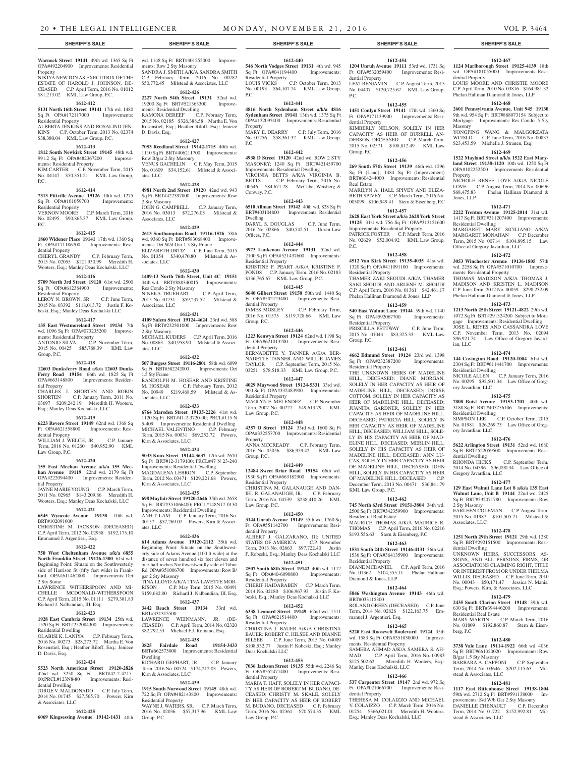#### **Warnock Street 19141** 49th wd. 1365 Sq Ft OPA#492204900 Improvements: Residential Property

NIKIYA NEWTON AS EXECUTRIX OF THE ESTATE OF HAROLD J. JOHNSON, DE-CEASED C.P. April Term, 2016 No. 01012 \$81,213.02 KML Law Group, P.C.

# **1612-412**

**5131 North 16th Street 19141** 17th wd. 1480<br> **Sq** Ft OPA#172117000 Improvements: Sq Ft OPA#172117000 Residential Property ALBERTA JENKINS AND ROSALIND JEN-

KINS C.P. October Term, 2013 No. 02374 \$38,380.04 KML Law Group, P.C.

# **1612-413**

**1812 South Newkirk Street 19145** 48th wd. 991.2 Sq Ft OPA#482367200 Improvements: Residential Property

KIM CARTER C.P. November Term, 2015 No. 04147 \$50,351.21 KML Law Group, P.C.

# **1612-414**

**7313 Pittville Avenue 19126** 10th wd. 1275 Sq Ft OPA#101059700 Improvements: Residential Property VERNON MOORE C.P. March Term, 2016

No. 02495 \$90,865.37 KML Law Group,  $P C$ .

#### **1612-415**

**1860 Widener Place 19141** 17th wd. 1360 Sq Ft OPA#171186700 Improvements: Residential Property CHERYL GRANDY C.P. February Term,

2015 No. 02055 \$121,930.99 Meredith H. Wooters, Esq.; Manley Deas Kochalski, LLC **1612-416**

# **5709 North 3rd Street 19120** 61st wd. 2500

Sq Ft OPA#612384900 Improvements: Residential Property LEROY N. BROWN, SR. C.P. June Term, 2015 No. 03392 \$118,013.72 Justin F. Ko-

beski, Esq.; Manley Deas Kochalski LLC **1612-417**

**135 East Westmoreland Street 19134** 7th wd. 1096 Sq Ft OPA#073235200 Improvements: Residential Property ANTONIO SILVA C.P. November Term, 2015 No. 00425 \$85,788.39 KML Law

#### **1612-418**

Group, P.C.

**12603 Dunksferry Road a/k/a 12603 Dunks Ferry Road 19154** 66th wd. 1825 Sq Ft OPA#663148800 Improvements: Residential Property CHARLES J. SHORTEN AND ROBIN

SHORTEN C.P. January Term, 2011 No. 03697 \$209,242.19 Meredith H. Wooters, Esq.; Manley Deas Kochalski, LLC

# **1612-419**

**6223 Revere Street 19149** 62nd wd. 1368 Sq Ft OPA#621558800 Improvements: Residential Property

WILLIAM J. WELCH, JR. C.P. January Term, 2016 No. 01260 \$40,952.90 KML Law Group, P.C.

#### **1612-420**

**155 East Meehan Avenue a/k/a 155 Meehan Avenue 19119** 22nd wd. 2179 Sq Ft OPA#222094400 Improvements: Residential Property JAYNE MARIE YOUNG C.P. March Term,

2011 No. 02965 \$143,209.86 Meredith H. Wooters, Esq.; Manley Deas Kochalski, LLC

#### **1612-421 6545 Wyncote Avenue 19138** 10th wd.

BRT#102091000 CHRISTINE M. JACKSON (DECEASED) C.P. April Term, 2012 No. 02938 \$192,175.10 Emmanuel J. Argentieri, Esq.

### **1612-422**

**750 West Cheltenham Avenue a/k/a 6855 North Franklin Street 19126-1300** 61st wd. Beginning Point: Situate on the Southwesterly side of Harrison St (fifty feet wide) in Frankford. OPA#611462800 Improvements: Det 2 Sty Stone

LAWRENCE WITHERSPOON AND MI-CHELLE MCDONALD-WITHERSPOON C.P. April Term, 2015 No. 01111 \$279,381.83 Richard J. Nalbandian, III, Esq.

#### **1612-423**

**1928 East Cambria Street 19134** 25th wd. 1520 Sq Ft BRT#252084300 Improvements: al Dwelling OLABISI K. LANIYA C.P. February Term, 2016 No. 00273 \$28,273.72 Martha E. Von Rosenstiel, Esq.; Heather Riloff, Esq.; Jeniece

#### **1612-424**

D. Davis, Esq.

& Associates, LLC

**5523 North American Street 19120-2826**  42nd wd. 3250 Sq Ft BRT#42-2-4215- 00;PRCL#123N8-80 Improvements: Residential Dwelling

**1612-425**

# JORGE V. MALDONADO C.P. July Term, 2014 No. 01745 \$27,565.70 Powers, Kirn

**6069 Kingsessing Avenue 19142-1431** 40th Group, P.C.

wd. 1148 Sq Ft BRT#401255000 Improvements: Row 2 Sty Masonry SANDRA J. SMITH A/K/A SANDRA SMITH C.P. February Term, 2016 No. 00782

# \$50,772.45 Milstead & Associates, LLC **1612-426**

**2227 North 54th Street 19131** 52nd wd. 19200 Sq Ft BRT#521363300 Improvements: Residential Dwelling RAMONA DEREEF C.P. February Term, 2015 No. 02185 \$326,388.58 Martha E. Von

Rosenstiel, Esq.; Heather Riloff, Esq.; Jeniece D. Davis, Esq. **1612-427**

## **7053 Reedland Street 19142-1715** 40th wd.

1110 Sq Ft BRT#406211700 Improvements: Row B/gar 2 Sty Masonry VENUS GACHELIN C.P. May Term, 2015 No. 01609 \$34,152.61 Milstead & Associates, LLC

# **1612-428**

**4981 North 2nd Street 19120** 42nd wd. 943 Sq Ft BRT#422397800 Improvements: Row 2 Sty Masonry JOHN G. CAMPBELL C.P. January Term, 2016 No. 03013 \$72,276.05 Milstead & Associates, LLC

#### **1612-429**

**2613 Southampton Road 19116-1526** 58th wd. 9360 Sq Ft BRT#583068400 Improvements: Det W/d Gar 1.5 Sty Frame ELIZABETH ORTIZ C.P. June Term, 2015 No. 01354 \$340,470.80 Milstead & Associates, LLC

#### **1612-430**

**1409-13 North 76th Street, Unit 4C 19151**  34th wd. BRT#888340015 Improvements: Res Condo 2 Sty Masonry N'NEKA TRUEHART C.P. April Term, 2015 No. 01731 \$59,237.52 Milstead & Associates, LLC

#### **1612-431**

**4109 Salem Street 19124-4624** 23rd wd. 588 Sq Ft BRT#232501000 Improvements: Row 2 Sty Masonry MICHAEL KUDERS C.P. April Term, 2016 No. 00863 \$40,958.90 Milstead & Associates, LLC

#### **1612-432**

**507 Burgess Street 19116-2801** 58th wd. 6099 Sq Ft BRT#582242000 Improvements: Det 1.5 Sty Frame RANDOLPH M. HOSEAR AND KRISTINE M. HOSEAR C.P. February Term, 2012 No. 00949 \$219,468.59 Milstead & Associates, LLC

#### **1612-433**

**6764 Marsden Street 19135-2226** 41st wd. 1120 Sq Ft BRT#41-2-3720-00; PRCL#115 N 5-409 Improvements: Residential Dwelling<br>MICHAEL VALENTINO C.P. February MICHAEL VALENTINO Term, 2015 No. 00031 \$69,252.72 Powers, Kirn & Associates, LLC

#### **1612-434**

**5033 Knox Street 19144-3637** 12th wd. 2670 Sq Ft BRT#12-3179100; PRCL#47 N 23-240 Improvements: Residential Dwelling MAGDALENA LEBRON C.P. September Term, 2012 No. 03471 \$129,221.68 Powers, Kirn & Associates, LLC

#### **1612-435**

**698 Mayfair Street 19120-2646** 35th wd. 2658 Sq Ft BRT#351066400; PRCL#148N17-0130 Improvements: Residential Dwelling ANH T. LAM C.P. January Term, 2016 No. 00157 \$57,269.07 Powers, Kirn & Associates, LLC

#### **1612-436**

**614 Adams Avenue 19120-2112** 35th wd. Beginning Point: Situate on the Southwesterly side of Adams Avenue (100 ft wide) at the distance of seven hundred six feet eleven and one-half inches Northwestwardly side of Tabor Rd OPA#351006700 Improvements: Row B/ gar 2 Sty Masonry TINA LLOYD A/K/A TINA LAVETTE MOR-RISON C.P. May Term, 2015 No. 00491 \$159,682.00 Richard J. Nalbandian, III, Esq.

#### **1612-437**

**3442 Reach Street 19134** 33rd wd. BRT#331315500 LAWRENCE WEINMANN, JR. (DE-CEASED) C.P. April Term, 2014 No. 02320 \$82,792.53 Michael F.J. Romano, Esq.

# **1612-438**

**3825 Fairdale Road 19154-3433**  BRT#662573000 Improvements: Residential Dwelling RICHARD GEPHART, JR. C.P. January

# Term, 2016 No. 00524 \$174,212.03 Powers, Kirn & Associates, LLC

**1612-439**

#### **1915 South Norwood Street 19145** 48th wd. 722 Sq Ft OPA#482143800 Improvements: Residential Property

WAYNE J. WATERS, SR. C.P. March Term, 2016 No. 02036 \$57,317.96 KML Law

## **SHERIFF'S SALE SHERIFF'S SALE SHERIFF'S SALE SHERIFF'S SALE SHERIFF'S SALE**

**1612-440 546 North Vodges Street 19131** 4th wd. 945 Sq Ft OPA#041194400 Improvements: Sq Ft OPA#041194400 Improvements:

LOUIS VICKS C.P. October Term, 2013 No. 00193 \$64,107.74 KML Law Group,

**1612-441 4816 North Sydenham Street a/k/a 4816 Sydenham Street 19141** 13th wd. 1375 Sq Ft OPA#132095100 Improvements: Residential

MARY E. DEARRY C.P. July Term, 2016 No. 01256 \$58,361.32 KML Law Group,

**1612-442 4938 D Street 19120** 42nd wd. ROW 2 STY MASONRY; 1240 Sq Ft BRT#421459700 Improvements: Residential Dwelling VIRGINIA BETTS A/K/A VIRGINIA B. BETTS C.P. February Term, 2016 No. 00546 \$84,671.28 McCabe, Weisberg &

**1612-443 6510 Allman Street 19142** 40th wd. 828 Sq Ft BRT#403104800 Improvements: Residential

DARYL S. DOUGLAS C.P. June Term, 2016 No. 02866 \$40,542.51 Udren Law

**1612-444 3973 Lankenau Avenue 19131** 52nd wd. 2100 Sq Ft OPA#521437600 Improvements:

KRISTINE F. PEART A/K/A KRISTINE F. PONDS C.P. January Term, 2016 No. 02183 \$136,765.67 KML Law Group, P.C. **1612-445 8640 Gilbert Street 19150** 50th wd. 1440 Sq Ft OPA#502123400 Improvements: Resi-

JAMES MOSLEY C.P. February Term, 2016 No. 01575 \$119,728.66 KML Law

**1612-446 1223 Kenwyn Street 19124** 62nd wd. 1198 Sq Ft OPA#621013200 Improvements: Resi-

BERNADETTE Y. TANNER A/K/A BER-NADETTE TANNER AND WILLIE JAMES TAYLOR C.P. September Term, 2015 No. 03251 \$78,518.33 KML Law Group, P.C. **1612-447 4029 Maywood Street 19124-5331** 33rd wd. 900 Sq Ft OPA#332483900 Improvements:

MAGLYN E. MELENDEZ C.P. November Term, 2007 No. 00227 \$49,613.79 KML

**1612-448 4357 O Street 19124** 33rd wd. 1600 Sq Ft OPA#332557700 Improvements: Residential

ANNA MCCREADY C.P. February Term, 2016 No. 05056 \$86,959.42 KML Law

**1612-449 12484 Sweet Briar Road 19154** 66th wd. 1930 Sq Ft OPA#663182900 Improvements:

CHRISTINA M. GALANAUGH AND DAN-IEL R. GALANAUGH, JR. C.P. February Term, 2016 No. 04539 \$238,410.26 KML

**1612-450 3144 Unruh Avenue 19149** 55th wd. 1760 Sq Ft OPA#551142700 Improvements: Resi-

ALBERT J. GALZARANO, III; UNITED STATES OF AMERICA C.P. November Term, 2013 No. 02663 \$97,722.40 Justin F. Kobeski, Esq.; Manley Deas Kochalski LLC **1612-451 2507 South 68th Street 19142** 40th wd. 1112 Sq Ft OPA#40-6090800 Improvements:

CHERIF HAIDARABEN C.P. March Term, 2014 No. 02180 \$106,967.93 Justin F. Kobeski, Esq.; Manley Deas Kochalski LLC **1612-452 6338 Leonard Street 19149** 62nd wd. 1511 Sq Ft OPA#621514400 Improvements:

CHRISTINA J. BAUER A/K/A CHRISTINA BAUER; ROBERT C. HILSEE AND DIANNE HILSEE C.P. June Term, 2015 No. 04009 \$108,532.77 Justin F. Kobeski, Esq.; Manley

**1612-453 7036 Jackson Street 19135** 55th wd. 2246 Sq Ft OPA#552471400 Improvements: Resi-

MARIA T. HAFF, SOLELY IN HER CAPACI-TY AS HEIR OF ROBERT M. BUDANO, DE-CEASED; CHRISTY M. SKALE, SOLELY IN HER CAPACITY AS HEIR OF ROBERT M. BUDANO, DECEASED C.P. February Term, 2016 No. 02361 \$70,574.35 KML

Residential Property

P.C.

Property

Conway, P.C.

Dwelling

Offices, P.C.

Residential Property

dential Property

dential Property

Residential Property

Law Group, P.C.

Property

Group, P.C.

Residential Property

Law Group, P.C.

dential Property

Residential Property

Residential Property

Deas Kochalski LLC

dential Property

Law Group, P.C.

Group, P.C.

P.C.

**1612-454 1204 Unruh Avenue 19111** 53rd wd. 1731 Sq Ft OPA#532059400 Improvements: Residential Property LEVI BENJAMIN C.P. August Term, 2015 No. 04407 \$120,725.67 KML Law Group, P.C.

**1612-467 1124 Marlborough Street 19125-4139** 18th wd. OPA#181055000 Improvements: Resi-

LOUIS MOORE AND CHRISTIE MOORE C.P. April Term, 2010 No. 03816 \$164,981.32 Phelan Hallinan Diamond & Jones, LLP **1612-468 2601 Pennsylvania Avenue, Unit 945 19130**  9th wd. 954 Sq Ft BRT#888073154 Subject to Mortgage Improvements: Res Condo .5 Sty

YONGPING WANG & MALGORZATA WCISLO C.P. June Term, 2016 No. 00837 \$23,453.59 Michelle J. Stranen, Esq. **1612-469 1522 Mayland Street a/k/a 1522 East Maryland Street 19138-1120** 10th wd. 1250 Sq Ft OPA#102252500 Improvements: Residential

NICHOLE RENEE LOVE A/K/A NICOLE LOVE C.P. August Term, 2014 No. 00696 \$68,475.83 Phelan Hallinan Diamond &

**1612-471 2222 Trenton Avenue 19125-2014** 31st wd. 1417 Sq Ft BRT#311207400 Improvements:

MARGARET MARY SICILIANO A/K/A MARGARET MONAHAN C.P. December Term, 2015 No. 00714 \$104,895.15 Law

**1612-472 3053 Winchester Avenue 19136-1805** 57th wd. 2258 Sq Ft OPA#571010700 Improve-

THOMAS MADISON A/K/A THOMAS J. MADISON AND KRISTEN L. MADISON C.P. June Term, 2012 No. 00059 \$298,232.09 Phelan Hallinan Diamond & Jones, LLP **1612-473 1213 North 25th Street 19121-4822** 29th wd. 1072 Sq Ft BRT#291324200 Subject to Mortgage Improvements: Residential Dwelling JOSE L. REYES AND CASSANDRA LOVE C.P. November Term, 2013 No. 02094 \$96,921.74 Law Office of Gregory Javard-

**1612-474 144 Covington Road 19120-1004** 61st wd. 2304 Sq Ft BRT#611441700 Improvements:

NICOLE ALLEN C.P. January Term, 2016 No. 00295 \$92,501.34 Law Office of Greg-

**1612-475 7808 Buist Avenue 19153-1701** 40th wd. 3188 Sq Ft BRT#405756106 Improvements:

SIMPSON LEE C.P. October Term, 2015 No. 01981 \$26,269.73 Law Office of Greg-

**1612-476 5622 Arlington Street 19131** 52nd wd. 1680 Sq Ft BRT#522059500 Improvements: Resi-

2014 No. 04396 \$96,090.34 Law Office of

**1612-477 129 East Walnut Lane Lot 8 a/k/a 135 East Walnut Lane, Unit B 19144** 22nd wd. 2425 Sq Ft BRT#592071780 Improvements: Row

EARLEEN COLEMAN C.P. August Term, 2015 No. 01987 \$101,505.21 Milstead &

**1612-478 1251 North 29th Street 19121** 29th wd. 1280 Sq Ft BRT#292151500 Improvements: Resi-

UNKNOWN HEIRS, SUCCESSORS, AS-SIGNS, AND ALL PERSONS, FIRMS, OR ASSOCIATIONS CLAIMING RIGHT, TITLE OR INTEREST FROM OR UNDER THELMA WILLIS, DECEASED C.P. June Term, 2010 No. 00043 \$50,171.47 Jessica N. Manis, Esq.; Powers, Kirn, & Associates, LLC **1612-479 2435 South Clarion Street 19148** 39th wd. 630 Sq Ft BRT#394446200 Improvements:

MARY MARTIN C.P. March Term, 2016 No. 01809 \$192,860.87 Stern & Eisen-

**1612-480 3738 Vale Lane 19114-1922** 66th wd. 4036 Sq Ft BRT#661320020 Improvements: Row

BARBARA A. CAPPONI C.P. September Term, 2014 No. 03646 \$202,115.63 Mil-

**1612-481 1117 East Rittenhouse Street 19138-1804**  59th wd. 2712 Sq Ft BRT#591138000 Improvements: S/d W/b Gar 2 Sty Masonry<br>DANIELLE CHENAULT C.P. December DANIELLE CHENAULT C.P. December Term, 2014 No. 01722 \$152,992.81 Mil-

C.P. September Term,

dential Property

Masonry

Property

Jones, LLP

ian, LLC

Residential Dwelling

ory Javardian, LLC

Residential Dwelling

ory Javardian, LLC

dential Dwelling<br>RHONDA HICKS

2 Sty Masonry

Associates, LLC

dential Dwelling

Residential Real Estate

B/gar 1.5 Sty Masonry

stead & Associates, LLC

stead & Associates, LLC

berg, P.C

Gregory Javardian, LLC

Residential Dwelling

Office of Gregory Javardian, LLC

ments: Residential Property

#### **1612-455**

**1451 Conlyn Street 19141** 17th wd. 1360 Sq Ft OPA#171139900 Improvements: Residential Property

KIMBERLY NELSON, SOLELY IN HER CAPACITY AS HEIR OF BURRELL AN-DERSON, DECEASED C.P. March Term, 2015 No. 02571 \$108,812.49 KML Law Group, P.C.

# **1612-456**

**269 South 57th Street 19139** 46th wd. 1296 Sq Ft (Land); 1484 Sq Ft (Improvement) BRT#604244000 Improvements: Residential Real Estate MARILYN A. HALL SPIVEY AND ELIZA-BETH SPIVEY C.P. March Term, 2016 No. 003099 \$106,949.41 Stern & Eisenberg, P.C

#### **1612-457**

**2628 East York Street a/k/a 2628 York Street 19125** 31st wd. 756 Sq Ft OPA#313151600 Improvements: Residential Property PATRICK FOSTER C.P. March Term, 2016 No. 02629 \$52,004.92 KML Law Group, P.C.

#### **1612-458**

**4512 Van Kirk Street 19135-4035** 41st wd. 1320 Sq Ft OPA#411091100 Improvements: Residential Property THAMER ZAKI SEOUDI A/K/A THAMER SAKI SEOUDI AND ARLENE M. SEOUDI C.P. April Term, 2016 No. 01361 \$42,461.17 Phelan Hallinan Diamond & Jones, LLP

# **1612-459**

**540 East Walnut Lane 19144** 59th wd. 1140 Sq Ft OPA#592067700 Improvements: Residential Property

PRISCILLA PETTWAY C.P. June Term, 2015 No. 01043 \$83,325.33 KML Law Group, P.C.

#### **1612-461**

**4662 Edmund Street 19124** 23rd wd. 1398 Sq Ft OPA#232387200 Improvements: Residential Property

THE UNKNOWN HEIRS OF MADELINE HILL, DECEASED; DIANE MORGAN, SOLELY IN HER CAPACITY AS HEIR OF MADELINE HILL, DECEASED; DORSE COTTOM, SOLELY IN HER CAPACITY AS HEIR OF MADELINE HILL, DECEASED; JUANITA GARDNER, SOLELY IN HER CAPACITY AS HEIR OF MADELINE HILL, DECEASED; PATRICIA HILL, SOLELY IN HER CAPACITY AS HEIR OF MADELINE HILL, DECEASED; WILLIAM HILL, SOLE-LY IN HIS CAPACITY AS HEIR OF MAD-ELINE HILL, DECEASED; MERLIN HILL, SOLELY IN HIS CAPACITY AS HEIR OF MADELINE HILL, DECEASED; ANN LU-CAS, SOLELY IN HER CAPACITY AS HEIR OF MADELINE HILL, DECEASED; JOHN HILL, SOLELY IN HIS CAPACITY AS HEIR OF MADELINE HILL, DECEASED C.P. December Term, 2013 No. 00471 \$36,841.79 KML Law Group, P.C.

#### **1612-462**

**745 North 63rd Street 19151-3804** 34th wd. 2500 Sq Ft BRT#342359900 Improvements: Residential Real Estate MAURICE THOMAS A/K/A MAURICE R.

THOMAS C.P. April Term, 2016 No. 02216 \$193,556.63 Stern & Eisenberg, P.C

# **1612-463**

**1531 South 24th Street 19146-4131** 36th wd. 1536 Sq Ft OPA#364135900 Improvements: Residential Property

DIANE MCDANIEL C.P. April Term, 2016 No. 01362 \$104,555.11 Phelan Hallinan Diamond & Jones, LLP

#### **1612-464 5846 Washington Avenue 19143** 46th wd.

BRT#033115300 ROLAND GREEN (DECEASED) C.P. June Term, 2014 No. 02828 \$122,163.75 Emmanuel J. Argentieri, Esq.

#### **1612-465 5220 East Roosevelt Boulevard 19124** 35th

ments: Residential Property

Manley Deas Kochalski, LLC

dential Property

wd. 1583 Sq Ft OPA#351030000 Improve-

SAMERA AHMAD A/K/A SAMERA S. AH-MAD C.P. April Term, 2016 No. 00983<br>\$125,502.62 Meredith H. Wooters, Esq.;

**1612-466 537 Carpenter Street 19147** 2nd wd. 972 Sq Ft OPA#021066700 Improvements: Resi-

THERESA M. COLAIZZO AND MICHAEL V. COLAIZZO C.P. March Term, 2016 No. 01254 \$366,021.01 Meredith H. Wooters, Esq.; Manley Deas Kochalski, LLC

Meredith H. Wooters, Esq.;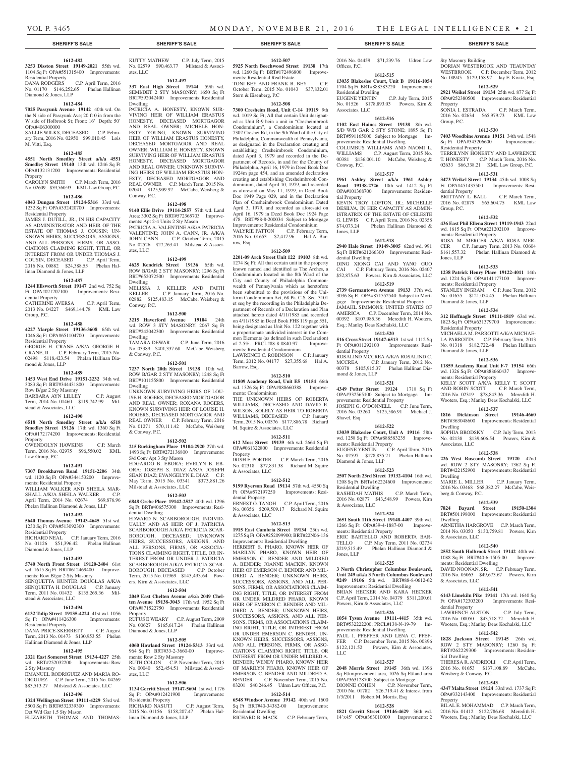#### **SHERIFF'S SALE SHERIFF'S SALE SHERIFF'S SALE SHERIFF'S SALE SHERIFF'S SALE**

#### **1612-482**

**3253 Disston Street 19149-2021** 55th wd. 1104 Sq Ft OPA#551315400 Improvements: Residential Property<br>DANA RODGERS DANA RODGERS C.P. April Term, 2016

No. 01170 \$146,252.65 Phelan Hallinan Diamond & Jones, LLP

#### **1612-484**

**7025 Passyunk Avenue 19142** 40th wd. On the N side of Passyunk Ave; 20 ft 0 in from the W side of Holbrook St; Front: 16' Depth: 50' OPA#406300000

SALLIE WILKS, DECEASED C.P. February Term, 2016 No. 02950 \$99,010.45 Lois M. Vitti, Esq.

#### **1612-485**

**4551 North Smedley Street a/k/a 4551 Smedley Street 19140** 13th wd. 1246 Sq Ft OPA#132131200 Improvements: Residential Property

CAROLYN SMITH C.P. March Term, 2016 No. 02609 \$59,560.93 KML Law Group, P.C.

#### **1612-486**

**4043 Dungan Street 19124-5316** 33rd wd. 1232 Sq Ft OPA#332420700 Improvements: Residential Property

JAMES J. DUTILL, JR., IN HIS CAPACITY AS ADMINISTRATOR AND HEIR OF THE ESTATE OF THOMAS J. COUSIN; UN-KNOWN HEIRS, SUCCESSORS, ASSIGNS, AND ALL PERSONS, FIRMS, OR ASSO-CIATIONS CLAIMING RIGHT, TITLE, OR INTEREST FROM OR UNDER THOMAS J. COUSIN, DECEASED C.P. April Term, 2016 No. 00882 \$24,388.55 Phelan Hallinan Diamond & Jones, LLP

### **1612-487**

**1244 Ellsworth Street 19147** 2nd wd. 752 Sq Ft OPA#021207100 Improvements: Resi-

dential Property CATHERINE AVERSA C.P. April Term, 2013 No. 04227 \$469,144.78 KML Law

Group, P.C.

# **1612-488**

**4227 Marple Street 19136-3608** 65th wd. 1046 Sq Ft OPA#651104700 Improvements: Residential Property GEORGE H. CRANE A/K/A GEORGE H.

CRANE, II C.P. February Term, 2015 No. 02498 \$118,423.54 Phelan Hallinan Diamond & Jones, LLP

#### **1612-489**

**1453 West End Drive 19151-2232** 34th wd. 3083 Sq Ft BRT#344431800 Improvements:

Row B/gar 2 Sty Masonry

BARBARA AYN LILLEY C.P. August Term, 2014 No. 01460 \$119,742.99 Milstead & Associates, LLC

#### **1612-490**

**6518 North Smedley Street a/k/a 6518 Smedley Street 19126** 17th wd. 1360 Sq Ft OPA#172174200 Improvements: Residential Property

GWENDOLYN HAWKINS C.P. March Term, 2016 No. 02975 \$96,550.02 KML Law Group, P.C.

#### **1612-491**

**7307 Brookhaven Road 19151-2206** 34th wd. 1120 Sq Ft OPA#344153200 Improve-

ments: Residential Property WILLIAM WALKER AND SHEILA MAR-SHALL A/K/A SHEILA WALKER C.P. April Term, 2014 No. 02674 \$69,876.96 Phelan Hallinan Diamond & Jones, LLP

#### **1612-492**

**5640 Thomas Avenue 19143-4645** 51st wd. 1230 Sq Ft OPA#513092300 Improvements:

Residential Property RICHARD NEAL C.P. January Term, 2016

No. 01126 \$51,396.42 Phelan Hallinan Diamond & Jones, LLP

# **1612-493**

**5740 North Front Street 19120-2404** 61st wd. 1615 Sq Ft BRT#612469400 Improvements: Row B/gar 2 Sty Masonry SENQUETTA HUNTER DOUGLAS A/K/A SENQUETTA H. DOUGLAS C.P. January Term, 2011 No. 01432 \$135,265.36 Milstead & Associates, LLC

#### **1612-494**

**6132 Tulip Street 19135-4224** 41st wd. 1056 Sq Ft OPA#411426300 Improvements:

Residential Property **DANA PRICE-SKERRETT** Term, 2013 No. 01473 \$130,953.55 Phelan Hallinan Diamond & Jones, LLP

#### **1612-495**

**2321 East Somerset Street 19134-4227** 25th wd. BRT#252032200 Improvements: Row 2 Sty Masonry

EMANUEL RODRIGUEZ AND MARIA RO-DRIGUEZ C.P. June Term, 2015 No. 04269 \$83,513.27 Milstead & Associates, LLC

# **1612-496**

**1324 Wellington Street 19111-4229** 53rd wd. 5500 Sq Ft BRT#532339300 Improvements: Det W/d Gar 1.5 Sty Mason ELIZABETH THOMAS AND THOMAS-

KUTTY MATHEW C.P. July Term, 2015 No. 02579 \$90,463.77 Milstead & Associates, LLC

**1612-497**

**337 East High Street 19144** 59th wd. SEMI/DET 2 STY MASONRY; 1650 Sq Ft BRT#592042400 Improvements: Residential Dwelling PATRICIA A. HONESTY, KNOWN SUR-

VIVING HEIR OF WILLIAM ERASTUS HONESTY, DECEASED MORTGAGOR AND REAL OWNER; MICHELE HON-ESTY YOUNG, KNOWN SURVIVING HEIR OF WILLIAM ERASTUS HONESTY, DECEASED MORTGAGOR AND REAL OWNER; WILLIAM E. HONESTY, KNOWN SURVIVING HEIR OF WILLIAM ERASTUS HONESTY, DECEASED MORTGAGOR AND REAL OWNER; UNKNOWN SURVIV-ING HEIRS OF WILLIAM ERASTUS HON-ESTY, DECEASED MORTGAGOR AND REAL OWNER C.P. March Term, 2015 No. 02041 \$125,909.92 McCabe, Weisberg & Conway, P.C.

#### **1612-498**

**9140 Ellie Drive 19114-2857** 57th wd. Land Area: 3302 Sq Ft BRT#572365703 Improvements: Apt 2-4 Units 2 Sty Mason PATRICIA A. VALENTINE A/K/A PATRICIA VALENTINE; JOHN A. CANN, JR. A/K/A JOHN CANN C.P. October Term, 2015 No. 02526 \$27,263.41 Milstead & Associates, LLC

#### **1612-499**

**4625 Kendrick Street 19136** 65th wd. ROW B/GAR 2 STY MASONRY; 1296 Sq Ft BRT#652072500 Improvements: Residential Dwelling MELISSA J. KELLER AND FAITH<br>KELLER C.P. January Term. 2016 No. C.P. January Term, 2016 No. 02882 \$125,483.15 McCabe, Weisberg & Conway, P.C.

#### **1612-500**

**3215 Haverford Avenue 19104** 24th wd. ROW 3 STY MASONRY; 2067 Sq Ft BRT#242042300 Improvements: Residential Dwelling TAMARA DEWAR C.P. June Term, 2016 No. 03389 \$401,337.68 McCabe, Weisberg & Conway, P.C.

#### **1612-501**

**7237 North 20th Street 19138** 10th wd. ROW B/GAR 2 STY MASONRY; 1248 Sq Ft BRT#101155800 Improvements: Residential Dwelling UNKNOWN SURVIVING HEIRS OF LOU-ISE H. ROGERS, DECEASED MORTGAGOR AND REAL OWNER; ROXANA ROGERS,

KNOWN SURVIVING HEIR OF LOUISE H. ROGERS, DECEASED MORTGAGOR AND REAL OWNER C.P. February Term, 2016 No. 01271 \$70,111.42 McCabe, Weisberg & Conway, P.C.

### **1612-502**

**215 Buckingham Place 19104-2920** 27th wd. 1493 Sq Ft BRT#272136800 Improvements: S/d Conv Apt 3 Sty Mason EDGARDO B. EBORA; EVELYN B. EB-

ORA; JOSEPH S. DIAZ A/K/A JOSEPH SEAN DIAZ; EVANGELYN E. DIAZ May Term, 2015 No. 03341 \$373,881.26 Milstead & Associates, LLC

#### **1612-503**

**6848 Grebe Place 19142-2527** 40th wd. 1296 Sq Ft BRT#406575300 Improvements: Residential Dwelling

EDWARD N. SCARBOROUGH, INDIVID-UALLY AND AS HEIR OF J. PATRICIA SCARBOROUGH A/K/A PATRICIA SCAR-BOROUGH, DECEASED; UNKNOWN HEIRS, SUCCESSORS, ASSIGNS, AND ALL PERSONS, FIRMS, OR ASSOCIA-TIONS CLAIMING RIGHT, TITLE, OR IN-TEREST FROM OR UNDER J. PATRICIA SCARBOROUGH A/K/A PATRICIA SCAR-BOROUGH, DECEASED C.P. October Term, 2015 No. 01969 \$143,493.64 Powers, Kirn & Associates, LLC

#### **1612-504**

#### **2049 East Chelten Avenue a/k/a 2049 Chelten Avenue 19138-3043** 17th wd. 1952 Sq Ft OPA#871522750 Improvements: Residential Property

RUFUS E WEARY C.P. August Term, 2009 No. 00627 \$165,617.24 Phelan Hallinan Diamond & Jones, LLP

# **1612-505**

**4060 Howland Street 19124-5313** 33rd wd. 964 Sq Ft BRT#33-2-3660-00 Improvements: Row 2 Sty Masonry RUTH COLON C.P. November Term, 2015 No. 00040 \$52,454.51 Milstead & Associates, LLC

#### **1612-506**

**1134 Gerritt Street 19147-5604** 1st wd. 1176 Sq Ft OPA#012421900 Residential Property<br>RICHARD NASUTI RICHARD NASUTI C.P. August Term, 2015 No. 01156 \$158,207.47 Phelan Hal-

linan Diamond & Jones, LLP

**1612-507 5925 North Beechwood Street 19138** 17th

wd. 1260 Sq Ft BRT#172496800 Improvements: Residential Real Estate TONI BEY AND FRANK B. BEY C.P. October Term, 2015 No. 01043 \$37,832.01 Stern & Eisenberg, P.C

**1612-508**

**7300 Cresheim Road, Unit C-14 19119** 9th wd. 1019 Sq Ft; All that certain Unit designated as Unit B-9 bein a unit in "Cresheimbrook Condominium", a Condominium located at 7302 Creshei Rd, in the 9th Ward of the City of Philadelphia, Commonwealth of Pennsylvania, as designated in the Declaration creating and establishing Cresheimbrook Condominium, dated April 3, 1979 and recorded in the Department of Records, in and for the County of Philadelphia, April 16, 1979 in Deed Book Doc 1924m page 454, and an amended declaration creating and establishing Cresheimbrook Condominium, dated April 10, 1979, and recorded as aforesaid on May 11, 1979, in Deed Book Doc 1949 Page 029, and in the Declaration Plan of Cresheimbrook Condominium Dated April 3, 1979, and recorded as aforesaid on April 16, 1979 in Deed Book Doc 1924 Page 478. BRT#88-8-200034 Subject to Mortgage Improvements: Residential Condominium VALYRIE PATTON C.P. February Term, 2016 No. 01653 \$2,417.96 Hal A. Barrow, Esq.

#### **1612-509**

**2201-09 Arch Street Unit 122 19103** 8th wd. 1274 Sq Ft; All that certain unit in the property known named and identified as The Arches, a Condominium located in the 8th Ward of the City and County of Philadelphia Commonwealth of Pennsylvania which as heretofore been submitted to the provisions of the Uniform Condominium Act, 68 Pa. C.S. Sec. 3101 et seq by the recording in the Philadelphia Department of Records of a Declaration and Plan attached hereto dated 4/11/1985 and recorded on 4/11/1985 in Deed Book FHS 119 page 551, being designated as Unit No. 122 together with a proportionate undivided interest in the Common Elements (as defined in such Declaration) of 2.5%. PRCL#88-8-0840-97 Improvements: Residential Condominium LAWRENCE C. ROBINSON C.P. January

Term, 2012 No. 04177 \$27,355.68 Hal A. Barrow, Esq.

#### **1612-510 11809 Academy Road, Unit E5 19154** 66th

wd. 1326 Sq Ft OPA#888660388 Improvements: Condominium THE UNKNOWN HEIRS OF ROBERTA WILLIAMS, DECEASED AND DAVID E. WILSON, SOLELY AS HEIR TO ROBERTA WILLIAMS, DECEASED C.P. January Term, 2015 No. 00376 \$177,886.78 Richard M. Squire & Associates, LLC

#### **1612-511**

**612 Moss Street 19139** 6th wd. 2664 Sq Ft OPA#061322800 Improvements: Residential Property IRISH F. PORTER C.P. March Term, 2016

No. 02318 \$77,831.38 Richard M. Squire & Associates, LLC

**1612-512 9199 Ryerson Road 19114** 57th wd. 4550 Sq Ft OPA#572197250 Improvements: Residential Property ERNEST O. TANOH C.P. April Term, 2016 No. 00356 \$209,509.17 Richard M. Squire & Associates, LLC

### **1612-513**

**1915 East Cambria Street 19134** 25th wd. 1275 Sq Ft OPA#252099900; BRT#22N06-136 Improvements: Residential Dwelling HERBERT S. PHARO, KNOWN HEIR OF MARILYN PHARO, KNOWN HEIR OF EMERSON C. BENDER AND MILDRED A. BENDER; JOANNE MACKIN, KNOWN HEIR OF EMERSON C. BENDER AND MIL-DRED A. BENDER; UNKNOWN HEIRS, SUCCESSORS, ASSIGNS, AND ALL PER-SONS, FIRMS, OR ASSOCIATIONS CLAIM-ING RIGHT, TITLE, OR INTEREST FROM OR UNDER MILDRED PHARO, KNOWN HEIR OF EMERON C. BENDER AND MIL-DRED A. BENDER; UNKNOWN HEIRS, SUCCESSORS, ASSIGNS, AND ALL PER-SONS, FIRMS, OR ASSOCIATIONS CLAIM-ING RIGHT, TITLE, OR INTEREST FROM OR UNDER EMERSON C. BENDER; UN-KNOWN HEIRS, SUCCESSORS, ASSIGNS, AND ALL PERSONS, FIRMS, OR ASSO-CIATIONS CLAIMING RIGHT, TITLE, OR INTEREST FROM OR UNDER MILDRED A. BENDER; WENDY PHARO, KNOWN HEIR OF MARILYN PHARO, KNOWN HEIR OF EMERSON C. BENDER AND MILDRED A.<br>BENDER C.P. November Term. 2015 No. C.P. November Term, 2015 No. 03201 \$40,246.45 Udren Law Offices, P.C.

# **1612-514**

**6548 Windsor Avenue 19142** 40th wd. 1600 Sq Ft BRT#40-34382-00 Improvements: Residential Dwelling<br>RICHARD B MACK C.P. February Term, 2016 No. 04459 \$71,239.76 Udren Law

Sty Masonry Building

**Property** 

Group, P.C.

Residential Property

dential Property

ments: Residential Property

ments: Residential Property

Diamond & Jones, LLP

Residential Property

Diamond & Jones, LLP

ments: Residential Property

Dwelling

Dwelling

Dwelling

Associates, LLC

berg & Conway, P.C.

& Associates, LLC

& Associates, LLC

dential Property

tial Dwelling

Property

Weisberg & Conway, P.C.

ments: Residential Dwelling

Group, P.C.

Jones, LLP

DORIAN WESTBROOK AND TEAUNTAY WESTBROOK C.P. December Term, 2012 No. 00945 \$129,158.97 Jay E. Kivitz, Esq. **1612-529 2921 Weikel Street 19134** 25th wd. 877 Sq Ft OPA#252380500 Improvements: Residential

SONIA I. ESTRADA C.P. March Term, 2016 No. 02634 \$65,979.73 KML Law

**1612-530 7403 Woodbine Avenue 19151** 34th wd. 1548 Sq Ft OPA#343206600 Improvements:

TERRILYNN HONESTY AND LAWRENCE T. HONESTY C.P. March Term, 2016 No. 02633 \$66,338.21 KML Law Group, P.C. **1612-531 3473 Weikel Street 19134** 45th wd. 1008 Sq Ft OPA#451435500 Improvements: Resi-

BRITTANY L. BALL C.P. March Term, 2016 No. 02879 \$65,604.75 KML Law

**1612-532 436 East Phil Ellena Street 19119-1943** 22nd wd. 1615 Sq Ft OPA#221202100 Improve-

ROSA M. MERCER A/K/A ROSA MER-CER C.P. January Term, 2013 No. 03604 \$161,557.32 Phelan Hallinan Diamond &

**1612-533 1238 Patrick Henry Place 19122-4011** 14th wd. 1224 Sq Ft OPA#141177100 Improve-

STANLEY INGRAM C.P. June Term, 2012 No. 01655 \$121,054.45 Phelan Hallinan

**1612-534 312 Hoffnagle Street 19111-1819** 63rd wd. 1823 Sq Ft OPA#631379700 Improvements:

MICHAELA M. PARROTTI A/K/A MICHAE-LA PARROTTA C.P. February Term, 2013 No. 01318 \$182,722.48 Phelan Hallinan

**1612-536 11859 Academy Road Unit F-7 19154** 66th wd. 1326 Sq Ft OPA#888660437 Improve-

KELLY SCOTT A/K/A KELLY T. SCOTT AND ROBIN SCOTT C.P. March Term, 2016 No. 02319 \$78,843.36 Meredith H. Wooters, Esq.; Manley Deas Kochalski, LLC **1612-537 1816 Dickinson Street 19146-4660**  BRT#363048600 Improvements: Residential

SOPHIA BRODSKY C.P. July Term, 2013 No. 02138 \$139,606.54 Powers, Kirn &

**1612-538 226 West Ruscomb Street 19120** 42nd wd. ROW 2 STY MASONRY; 1362 Sq Ft BRT#422152900 Improvements: Residential

MARIE L. MILLER C.P. January Term, 2016 No. 03468 \$68,382.27 McCabe, Weis-

**1612-539 7824 Bayard Street 19150-1304**  BRT#501198000 Improvements: Residential

ARNETHA HARGROVE C.P. March Term, 2014 No. 03050 \$130,759.81 Powers, Kirn

**1612-540 2552 South Holbrook Street 19142** 40th wd. 1088 Sq Ft BRT#40-6-1505-00 Improve-

DAVID NOONAN, SR. C.P. February Term, 2016 No. 05063 \$49,673.67 Powers, Kirn

**1612-541 6143 Limekiln Pike 19141** 17th wd. 1640 Sq Ft OPA#172303200 Improvements: Resi-

LAWRENCE ALSTON C.P. July Term, 2016 No. 00050 \$43,718.72 Meredith H. Wooters, Esq.; Manley Deas Kochalski, LLC **1612-542 1828 Jackson Street 19145** 26th wd. ROW 2 STY MASONRY; 1260 Sq Ft BRT#262229300 Improvements: Residen-

THERESA R. ANDREOLI C.P. April Term, 2016 No. 01653 \$137,108.89 McCabe,

**1612-543 4347 Malta Street 19124** 33rd wd. 1737 Sq Ft OPA#332143400 Improvements: Residential

BILAL E. MOHAMMAD C.P. March Term, 2016 No. 01412 \$122,786.68 Meredith H. Wooters, Esq.; Manley Deas Kochalski, LLC

#### Offices, P.C. **1612-515**

**13035 Blakeslee Court, Unit B 19116-1054**  1704 Sq Ft BRT#888583220 Improvements: Residential Dwelling<br>EUGENE YENTIN C.P. July Term, 2015 No. 01526 \$178,893.03 Powers, Kirn & Associates, LLC

#### **1612-516**

**1102 East Haines Street 19138** 8th wd. S/D W/B GAR 2 STY STONE; 1895 Sq Ft BRT#591165000 Subject to Mortgage Improvements: Residential Dwelling COLUMBUS WILLIAMS AND NAOMI L. WILLIAMS C.P. August Term, 2015 No. 00381 \$136,001.10 McCabe, Weisberg & Conway, P.C.

#### **1612-517**

**1961 Ashley Street a/k/a 1961 Ashley Road 19138-2726** 10th wd. 1412 Sq Ft OPA#101368700 Improvements: Residential Property KEVIN TROY LOFTON, JR.; MICHELLE DESILVA, IN HER CAPACITY AS ADMIN-ISTRATRIX OF THE ESTATE OF CELESTE G. LEWIS C.P. April Term, 2016 No. 02358<br> $$74.073.24$  Phelan Hallinan Diamond & Phelan Hallinan Diamond & Jones, LLP

#### **1612-518**

**2940 Hale Street 19149-3005** 62nd wd. 991 Sq Ft BRT#621266300 Improvements: Residential Dwelling DING XIONG CAI AND YANG GUO CAI C.P. February Term, 2016 No. 02407 \$52,875.63 Powers, Kirn & Associates, LLC

# **1612-519**

**2739 Germantown Avenue 19133** 37th wd. 3036 Sq Ft OPA#871552540 Subject to Mortgage Improvements: Residential Property JAMAHL SIMMONS; UNITED STATES OF AMERICA C.P. December Term, 2014 No. 00392 \$107,985.36 Meredith H. Wooters, Esq.; Manley Deas Kochalski, LLC

**1612-520 516 Cross Street 19147-6513** 1st wd. 1112 Sq Ft OPA#011292100 Improvements: Resi-

ROSALIND MCCREA A/K/A ROSALIND C. MCCREA C.P. January Term, 2012 No. 00378 \$105,915.37 Phelan Hallinan Dia-

**1612-521 4349 Potter Street 19124** 1718 Sq Ft OPA#332565100 Subject to Mortgage Im-

JOSEPH G. O'DONNELL C.P. June Term, 2016 No. 03260 \$125,586.91 Michael J.

**1612-522 13039 Blakeslee Court, Unit A 19116** 58th wd. 1258 Sq Ft OPA#888583235 Improve-

EUGENE YENTIN C.P. April Term, 2016 No. 02597 \$178,835.21 Phelan Hallinan

**1612-523 2507 North 23rd Street 19132-4104** 16th wd. 1208 Sq Ft BRT#162224600 Improvements:

RASHIDAH MATHIS C.P. March Term, 2016 No. 02877 \$43,548.99 Powers, Kirn

**1612-524 2651 South 11th Street 19148-4407** 39th wd. 1266 Sq Ft OPA#39-4-1887-00 Improve-

ERIC BARTELLO AND ROBERTA BAR-TELLO C.P. May Term, 2011 No. 02734 \$219,515.49 Phelan Hallinan Diamond &

**1612-525 3 North Christopher Columbus Boulevard, Unit 249 a/k/a 3 North Columbus Boulevard #249 19106** 5th wd. BRT#88-8-0612-62 Improvements: Residential Dwelling BRIAN HECKER AND KARA HECKER C.P. April Term, 2014 No. 04379 \$311,200.61

**1612-526 1054 Tyson Avenue 19111-4415** 35th wd. BRT#532222200; PRCL#138-N-19-79 Improvements: Residential Dwelling PAUL I. PFEFFER AND LENA C. PFEF-FER C.P. December Term, 2015 No. 00896 \$122,121.52 Powers, Kirn & Associates,

**1612-527 2048 Morris Street 19145** 36th wd. 1396 Sq Ft/improvement area, 1026 Sq Ft/land area OPA#363128700 Subject to Mortgage DIONNE COHEN C.P. November Term, 2010 No. 01782 \$26,719.41 & Interest from 1/3/2011 Robert M. Morris, Esq

**1612-528 1821 Gerritt Street 19146-4629** 36th wd. 14'x45' OPA#363010000 Improvements: 2

provements: Residential Property

ments: Residential Property

Diamond & Jones, LLP

Residential Dwelling

& Associates, LLC

Jones, LLP

LLC

ments: Residential Property

Powers, Kirn & Associates, LLC

dential Property

Shavel, Esq.

mond & Jones, LLP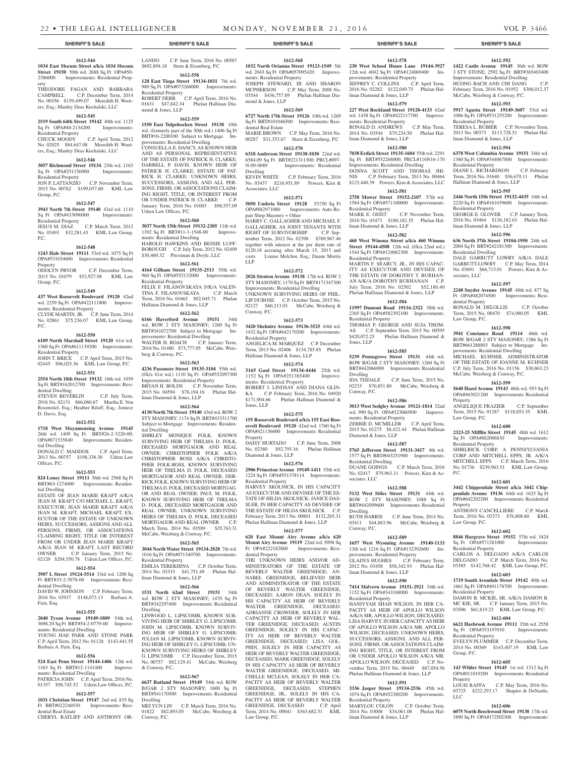#### **1612-544**

**1034 East Slocum Street a/k/a 1034 Slocum Street 19150** 50th wd. 2688 Sq Ft OPA#50- 2386000 Improvements: Residential Prop-

erty THEODORE FAGAN AND BARBARA CAMPBELL C.P. December Term, 2014 No. 00356 \$159,499.07 Meredith H. Wooters, Esq.; Manley Deas Kochalski, LLC

# **1612-545**

**2519 South 64th Street 19142** 40th wd. 1125 Sq Ft OPA#40-2134200 Improvements: Residential Property C.P. April Term, 2012

# No. 02025 \$84,647.08 Meredith H. Wooters, Esq.; Manley Deas Kochalski, LLC **1612-546**

**3057 Richmond Street 19134** 25th wd. 1163 Sq Ft OPA#251156900 Improvements: Residential Property

## JON P. LATTANZIO C.P. November Term, 2015 No. 00762 \$199,037.60 KML Law Group, P.C.

#### **1612-547**

**3943 North 7th Street 19140** 43rd wd. 1110

Sq Ft OPA#433090000 Improvements: Residential Property

JESUS M. DIAZ C.P. March Term, 2012 No. 03491 \$32,281.43 KML Law Group, P.C.

### **1612-548**

**1243 Hale Street 19111** 53rd wd. 1075 Sq Ft OPA#531034600 Improvements: Residential Property<br>ODOLYN PRYOR

C.P. December Term, 2015 No. 01079 \$53,927.98 KML Law Group, P.C.

#### **1612-549**

**437 West Roosevelt Boulevard 19120** 42nd wd. 2259 Sq Ft OPA#422111800 Improvements: Residential Property CLYDE MARTIN, JR. C.P. June Term, 2014

No. 02861 \$75,236.07 KML Law Group, P.C.

### **1612-550**

**6109 North Marshall Street 19120** 61st wd. 1360 Sq Ft OPA#611139200 Improvements: Residential Property JOHN T. BRICE C.P. April Term, 2015 No. 02445 \$96,025.36 KML Law Group, P.C.

#### **1612-551**

**2554 North 18th Street 19132** 16th wd. 1039 Sq Ft BRT#162012700 Improvements: Residential Dwelling

STEVEN BEVERLIN C.P. July Term, 2016 No. 02131 \$66,060.67 Martha E. Von Rosenstiel, Esq.; Heather Riloff, Esq.; Jeniece D. Davis, Esq.

#### **1612-552**

**1718 West Moyamensing Avenue 19145**  26th wd. 1409 Sq Ft BRT#26-2-3220-00;<br>OPA#871535840 Improvements: Residen-Improvements: Residential Dwelling

DONALD C. MADDOX C.P. April Term, 2013 No. 00757 \$198,338.30 Udren Law Offices, P.C.

#### **1612-553**

**824 Loney Street 19111** 56th wd. 2568 Sq Ft BRT#63-1274000 Improvements: Residential Dwelling

ESTATE OF JEAN MARIE KRAFT A/K/A JEAN M. KRAFT C/O MICHAEL L. KRAFT, EXECUTOR; JEAN MARIE KRAFT A/K/A JEAN M. KRAFT; MICHAEL KRAFT, EX-ECUTOR OF THE ESTATE OF UNKNOWN HEIRS, SUCCESSORS, ASSIGNS AND ALL PERSONS, FIRMS, OR ASSOCIATIONS CLAIMING RIGHT, TITLE OR INTEREST FROM OR UNDER JEAN MARIE KRAFT A/K/A JEAN M. KRAFT, LAST RECORD<br>
OWNER
C.P. January Term. 2015 No. C.P. January Term, 2015 No. 02120 \$204,550.78 Udren Law Offices, P.C.

# **1612-554**

**3907 L Street 19124-5514** 33rd wd. 1200 Sq Ft BRT#33-2-3978-00 Improvements: Residential Dwelling DAVID W. JOHNSON C.P. February Term,

2016 No. 03937 \$148,073.13 Barbara A. Fein, Esq.

#### **1612-555**

**2040 Tyson Avenue 19149-1809** 54th wd. 3698.20 Sq Ft BRT#54-2-0779-00 Improvements: Residential Dwelling YOUNG HAE PARK AND STONE PARK C.P. April Term, 2012 No. 01128 \$143,441.55 Barbara A. Fein, Esq.

# **1612-556**

**524 East Penn Street 19144-1406** 12th wd. 1163 Sq Ft BRT#12-1141400 Improvements: Residential Dwelling

PATRICIA JOHN C.P. April Term, 2016 No. 01357 \$98,745.52 Udren Law Offices, P.C. **1612-557**

**1031 Christian Street 19147** 2nd wd. 835 Sq Ft BRT#022246930 Improvements: Residential Real Estate CHERYL RATLIFF AND ANTHONY OR-

LANDO C.P. June Term, 2016 No. 00587 \$692,894.18 Stern & Eisenberg, P.C **1612-558**

**128 East Tioga Street 19134-1031** 7th wd. 980 Sq Ft OPA#073268000 Improvements: Residential Property ROBERT DERR C.P. April Term, 2016 No. 01631 \$47,842.34 Phelan Hallinan Diamond & Jones, LLP

#### **1612-559**

**1550 East Tulpehocken Street 19138** 10th wd. (formerly part of the 50th wd.) 1406 Sq Ft BRT#10-2200100 Subject to Mortgage Improvements: Residential Dwelling CONSUELLA E. DANCY, AS KNOWN HEIR AND AS PERSONAL REPRESENTATIVE OF THE ESTATE OF PATRICK H. CLARKE; DARRELL P. DAVIS, KNOWN HEIR OF PATRICK H. CLARKE; ESTATE OF PAT-RICK H. CLARKE; UNKNOWN HEIRS, SUCCESSORS, ASSIGNS, AND ALL PER-SONS, FIRMS, OR ASSOCIATIONS CLAIM-ING RIGHT, TITLE, OR INTEREST FROM

OR UNDER PATRICK H. CLARKE January Term, 2016 No. 01003 \$98,557.09 Udren Law Offices, P.C. **1612-560 3037 North 15th Street 19132-2305** 11th wd.

1392 Sq Ft BRT#11-1-1548-00 Improvements: Residential Dwelling HAROLD HAWKINS AND BESSIE LUFF-BOROUGH C.P. July Term, 2012 No. 02409 \$30,460.32 Pressman & Doyle, LLC

#### **1612-561**

**4164 Gilham Street 19135-2513** 55th wd. 960 Sq Ft OPA#552132000 Improvements: Residential Property FELIX F. FILANOVSKAYA F/K/A VALEN-TINA F. FILANOVSKAYA C.P. March Term, 2016 No. 01662 \$92,045.71 Phelan Hallinan Diamond & Jones, LLP

#### **1612-562**

**6166 Haverford Avenue 19151** 34th wd. ROW 2 STY MASONRY; 1260 Sq Ft BRT#341072700 Subject to Mortgage Improvements: Residential Dwelling WALTER H. ROACH C.P. January Term, 2016 No. 01480 \$73,777.05 McCabe, Weisberg & Conway, P.C.

#### **1612-563**

**4236 Passmore Street 19135-3104** 55th wd. (f/k/a 41st wd.) 1110 Sq Ft OPA#552097300 Improvements: Residential Property BRYAN H. BOLDS C.P. November Term, 2015 No. 04594 \$78,194.16 Phelan Hallinan Diamond & Jones, LLP

#### **1612-564**

**4130 North 7th Street 19140** 43rd wd. ROW 2 STY MASONRY; 1174 Sq Ft BRT#433311700 Subject to Mortgage Improvements: Residential Dwelling

SHIRLEY MONIQUE FOLK, KNOWN SURVIVING HEIR OF THELMA D. FOLK, DECEASED MORTGAGOR AND REAL OWNER; CHRISTOPHER FOLK A/K/A CHRISTOPHER ROSS A/K/A CHRISTO-PHER FOLK-ROSS, KNOWN SURVIVING HEIR OF THELMA D. FOLK, DECEASED MORTGAGOR AND REAL OWNER; DER-RICK FOLK, KNOWN SURVIVING HEIR OF THELMA D. FOLK, DECEASED MORTGAG-OR AND REAL OWNER: PAUL M. FOLK KNOWN SURVIVING HEIR OF THELMA D. FOLK, DECEASED MORTGAGOR AND REAL OWNER; UNKNOWN SURVIVING HEIRS OF THELMA D. FOLK, DECEASED MORTGAGOR AND REAL OWNER C.P. March Term, 2014 No. 03589 \$35,763.31 McCabe, Weisberg & Conway, P.C.

# **1612-565**

**3044 North Water Street 19134-2828** 7th wd. 1016 Sq Ft OPA#071340700 Improvements: Residential Property

EMILIA TEREKHINA C.P. October Term, 2014 No. 03333 \$41,751.49 Phelan Hallinan Diamond & Jones, LLP

#### **1612-566**

**1531 North 62nd Street 19151** 34th wd. ROW 2 STY MASONRY; 1470 Sq Ft BRT#342297400 Improvements: Residential Dwelling LINWOOD L. LIPSCOMB, KNOWN SUR-VIVING HEIR OF SHIRLEY G. LIPSCOMB; JOHN M. LIPSCOMB, KNOWN SURVIV-ING HEIR OF SHIRLEY G. LIPSCOMB; JULIAN M. LIPSCOMB, KNOWN SURVIV-ING HEIR OF SHIRLEY G. LIPSCOMB; UN-KNOWN SURVIVING HEIRS OF SHIRLEY

G. LIPSCOMB C.P. December Term, 2015 No. 00757 \$82,129.41 McCabe, Weisberg & Conway, P.C. **1612-567**

**6637 Rutland Street 19149** 54th wd. ROW B/GAR 2 STY MASONRY; 1600 Sq Ft BRT#541170500 Improvements: Residential Dwelling MEI YUN LIN C.P. March Term, 2016 No.

01822 \$82,893.05 McCabe, Weisberg & Conway, P.C.

**1612-568 1032 North Orianna Street 19123-1549** 5th wd. 2043 Sq Ft OPA#057095420 Improve-

ments: Residential Property JOSEPH STEWARD, III AND SHARON

MCPHERSON C.P. May Term, 2008 No. 03544 \$436,757.89 Phelan Hallinan Diamond & Jones, LLP **1612-569 6727 North 17th Street 19126** 10th wd. 1269 Sq Ft BRT#101046500 Improvements: Resi-

dential Real Estate MARIE BROWN C.P. May Term, 2016 No. 00287 \$31,353.67 Stern & Eisenberg, P.C

**1612-570 6318 Anderson Street 19138-1030** 22nd wd. 6584.09 Sq Ft BRT#221311300; PRCL#097-<br>N-09-0089 Improvements: Residential Improvements: Residential Dwelling

KEVIN WHITE C.P. February Term, 2016 No. 03437 \$216,951.89 Powers, Kirn & Associates, LLC

# **1612-571**

**5050 Umbria Street 19128** 53750 Sq Ft OPA#882971080 Improvements: Auto Repair Shop Masonry + Other HARRY C. GALLAGHER AND MICHAEL F. GALLAGHER, AS JOINT TENANTS WITH RIGHT OF SURVIVORSHIP C.P. Sep-RIGHT OF SURVIVORSHIP C.P. September Term, 2012 No. 02398 \$769,967.46 together with interest at the per diem rate of \$120.18 accruing after March 15, 2013 and costs Louise Melchor, Esq.; Duane Morris LLP

#### **1612-572**

**2026 Stenton Avenue 19138** 17th wd. ROW 2 STY MASONRY: 1170 Sq Ft BRT#171347300 Improvements: Residential Dwelling UNKNOWN SURVIVING HEIRS OF PHIL-LIP DUBOSE C.P. October Term, 2015 No. 02127 \$60,213.03 McCabe, Weisberg & Conway, P.C.

#### **1612-573**

**3420 Shelmire Avenue 19136-3525** 64th wd. 1432 Sq Ft OPA#642170200 Improvements: Residential Property ANGELICA M. MARQUEZ C.P. December

Term, 2013 No. 02406 \$134,785.85 Phelan Hallinan Diamond & Jones, LLP **1612-574**

**3165 Gaul Street 19134-4446** 25th wd. 1152 Sq Ft OPA#251385400 Improve-

ments: Residential Property ROBERT J. LINDSAY AND DIANA GLIN-KA C.P. February Term, 2016 No. 04920 \$171,904.66 Phelan Hallinan Diamond & Jones, LLP

#### **1612-575**

**155 Roosevelt Boulevard a/k/a 155 East Roosevelt Boulevard 19120** 42nd wd. 1760 Sq Ft OPA#421136000 Improvements: Residential Property

DAISY HURTADO C.P. June Term, 2008 No. 02380 \$92,795.16 Phelan Hallinan Diamond & Jones, LLP

#### **1612-576**

**2906 Princeton Avenue 19149-1411** 55th wd. 1224 Sq Ft OPA#551378114 Improvements: Residential Property

HARVEY SKOLNICK, IN HIS CAPACITY AS EXECUTOR AND DEVISEE OF THE ES-TATE OF HILDA SKOLNICK; JANICE DAS-SLER, IN HER CAPACITY AS DEVISEE OF THE ESTATE OF HILDA SKOLNICK C.P. February Term, 2013 No. 00801 \$132,265.31 Phelan Hallinan Diamond & Jones, LLP

# **1612-577**

**620 East Mount Airy Avenue a/k/a 620 Mount Airy Avenue 19119** 22nd wd. 5098 Sq Ft OPA#222182800 Improvements: Residential Property

THE UNKNOWN HEIRS AND/OR AD-MINISTRATORS OF THE ESTATE OF BEVERLY WALTER GREENIDGE; AN-NABEL GREENIDGE, BELIEVED HEIR AND ADMINISTRATOR OF THE ESTATE OF BEVERLY WALTER GREENIDGE, DECEASED; AARON DEAN, SOLELY IN HIS CAPACITY AS HEIR OF BEVERLY WALTER GREENIDGE, DECEASED; ADRIANNE CROWDER, SOLELY IN HER CAPACITY AS HEIR OF BEVERLY WAL-TER GREENIDGE, DECEASED; AUSTIN GREENIDGE, SOLELY IN HIS CAPAC-ITY AS HEIR OF BEVERLY WALTER GREENIDGE, DECEASED; LISA GOL-PHIN, SOLELY IN HER CAPACITY AS HEIR OF BEVERLY WALTER GREENIDGE, DECEASED; MARK GREENIDGE, SOLELY IN HIS CAPACITY AS HEIR OF BEVERLY WALTER GREENIDGE, DECEASED; MI-CHELLE MCLEAN, SOLELY IN HER CA-PACITY AS HEIR OF BEVERLY WALTER GREENIDGE, DECEASED; STEPHEN GREENIDGE, JR., SOLELY IN HIS CA-PACITY AS HEIR OF BEVERLY WALTER GREENIDGE, DECEASED C.P. April Term, 2014 No. 00041 \$363,682.51 KML Law Group, P.C.

#### **SHERIFF'S SALE SHERIFF'S SALE SHERIFF'S SALE SHERIFF'S SALE SHERIFF'S SALE**

#### **1612-578**

**1612-592 1422 Castle Avenue 19145** 36th wd. ROW 3 STY STONE; 2592 Sq Ft BRT#365403400 Improvements: Residential Dwelling HUONG BACH AND CHI DANG C.P. February Term, 2016 No. 01952 \$388,012.37 McCabe, Weisberg & Conway, P.C. **1612-593 5917 Agusta Street 19149-3607** 53rd wd. 1086 Sq Ft OPA#531255200 Improvements:

TERESA L. BUBIER C.P. November Term, 2013 No. 00373 \$113,728.51 Phelan Hal-

**1612-594 6378 West Columbia Avenue 19151** 34th wd. 1360 Sq Ft OPA#344067800 Improvements:

DIANE L. RICHARDSON C.P. February Term, 2016 No. 01640 \$56,679.11 Phelan

**1612-595 2446 North 15th Street 19132-4435** 16th wd. 2220 Sq Ft OPA#161039600 Improvements:

GEORGE E. GLOVER C.P. January Term, 2016 No. 03464 \$126,182.63 Phelan Hal-

**1612-596 636 North 37th Street 19104-1950** 24th wd. 2004 Sq Ft BRT#242181300 Improvements:

DALE GARBUTT LOWRY A/K/A DALE GARBUTT-LOWRY C.P. May Term, 2014 No. 03691 \$66,713.01 Powers, Kirn & As-

**1612-597 2248 Snyder Avenue 19145** 48th wd. 877 Sq Ft OPA#482074500 Improvements: Resi-

RONALD M. DELOLLIS C.P. October Term, 2015 No. 00470 \$74,980.05 KML

**1612-598 3941 Constance Road 19114** 66th wd. ROW B/GAR 2 STY MASONRY; 1386 Sq Ft BRT#661288803 Subject to Mortgage Im-

MICHAEL KUHNER, ADMINISTRATOR OF THE ESTATE OF JOANNE M. KUHNER C.P. July Term, 2016 No. 01156 \$30,863.23 McCabe, Weisberg & Conway, P.C. **1612-599 5640 Hazel Avenue 19143** 46th wd. 953 Sq Ft OPA#463021200 Improvements: Residential

ANGELIQUE FRAZIER C.P. September Term, 2015 No. 01287 \$118,853.35 KML

**1612-600 2323-25 Mifflin Street 19145** 48th wd. 1612 Sq Ft OPA#882006830 Improvements:

SHIRLRICK CORP, A PENNSYLVANIA CORP AND MITCHELL EPPS, JR. A/K/A MITCHELL EPPS C.P. March Term, 2016 No. 01736 \$239,963.51 KML Law Group,

**1612-601 3442 Chippendale Street a/k/a 3442 Chippendale Avenue 19136** 64th wd. 1625 Sq Ft OPA#642202200 Improvements: Residential

ANTHONY CANCELLIERE C.P. March Term, 2016 No. 03373 \$76,808.60 KML

**1612-602 8846 Hargrave Street 19152** 57th wd. 3424 Sq Ft OPA#571281000 Improvements:

CARLOS A. DELGADO A/K/A CARLOS DELGADO C.P. March Term, 2016 No. 03385 \$142,768.42 KML Law Group, P.C. **1612-603 1719 South Avondale Street 19142** 40th wd. 1661 Sq Ft OPA#401178700 Improvements:

DAMON B. MCKIE, SR. A/K/A DAMON B. MC KIE, SR. C.P. January Term, 2015 No. 03506 \$61,819.23 KML Law Group, P.C. **1612-604 6621 Hasbrook Avenue 19111** 35th wd. 2558

EVELYN PLUMMER C.P. December Term, 2014 No. 00369 \$143,407.19 KML Law

**1612-605 143 Wilder Street 19145** 1st wd. 1312 Sq Ft OPA#011019200 Improvements: Residential

LOUIS RAFFA C.P. May Term, 2016 No. 03725 \$222,293.17 Shapiro & DeNardo,

**1612-606 6075 North Beechwood Street 19138** 17th wd. 1890 Sq Ft OPA#172502300 Improvements:

provements: Residential Dwelling

Residential Property

Residential Property

Residential Property

Residential Dwelling

sociates, LLC

dential Property

Law Group, P.C.

Property

P.C.

Property

Law Group, P.C.

Residential Property

Residential Property

Sq Ft OPA#353197010 Residential Property

Group, P.C.

Property

LLC

Law Group, P.C.

Residential Property

linan Diamond & Jones, LLP

Hallinan Diamond & Jones, LLP

linan Diamond & Jones, LLP

**230 West School House Lane 19144-3927**  12th wd. 4042 Sq Ft OPA#124069400 Improvements: Residential Property<br>JEFFREY C. COLLINS C.P. April Term. JEFFREY C. COLLINS 2016 No. 02282 \$122,049.75 Phelan Hallinan Diamond & Jones, LLP

#### **1612-579**

**227 West Rockland Street 19120-4133** 42nd wd. 1438 Sq Ft OPA#422117700 Improvements: Residential Property RONALD D. ANDREWS C.P. May Term.

2014 No. 03544 \$79,234.50 Phelan Hallinan Diamond & Jones, LLP **1612-580**

#### **7038 Erdick Street 19135-1604** 55th wd. 2291 Sq Ft BRT#552268000; PRCL#116N16-170 Improvements: Residential Dwelling

DONNA SCOTT AND THOMAS JHI-<br>NIS C.P. February Term, 2013 No. 00464 C.P. February Term, 2013 No. 00464 \$123,440.39 Powers, Kirn & Associates, LLC

MARK E. GEIST C.P. November Term, 2010 No. 03473 \$180,182.35 Phelan Hal-

**1612-582 460 West Winona Street a/k/a 460 Winona Street 19144-4508** 12th wd. (f/k/a 22nd wd.) 1544 Sq Ft OPA#124062300 Improvements:

MARTIN F. SEARCY, JR., IN HIS CAPAC-ITY AS EXECUTOR AND DEVISEE OF THE ESTATE OF DOROTHY T. BURHAN-AN A/K/A DOROTHY BURHANAN C.P. July Term, 2016 No. 02502 \$52,180.40 Phelan Hallinan Diamond & Jones, LLP **1612-584 11997 Dumont Road 19116-2322** 58th wd. 2365 Sq Ft OPA#582392100 Improvements:

THOMAS P. GEORGE AND SUJA THOM-AS C.P. September Term, 2015 No. 00595<br>\$420,072.25 Phelan Hallinan Diamond &

**1612-585 5239 Pennsgrove Street 19131** 44th wd. ROW B/GAR 2 STY MASONRY; 1260 Sq Ft BRT#442066900 Improvements: Residential

IDA TISDALE C.P. June Term, 2015 No. 02233 \$70,851.80 McCabe, Weisberg &

**1612-586 3013 West Sedgley Avenue 19121-1814** 32nd wd. 990 Sq Ft OPA#323060500 Improve-

ZEBBIE D. MCMILLER C.P. April Term, 2015 No. 01275 \$8,422.44 Phelan Hallinan

**1612-587 5765 Jefferson Street 19131-3417** 4th wd. 1577 Sq Ft BRT#043251900 Improvements:

DUANE GOINGS C.P. March Term, 2016 No. 02417 \$79,963.11 Powers, Kirn & As-

**1612-588 5132 West Stiles Street 19131** 44th wd. ROW 2 STY MASONRY; 1088 Sq Ft BRT#442099600 Improvements: Residential

RUTH HARRIS C.P. June Term, 2014 No. 03411 \$44,883.96 McCabe, Weisberg &

**1612-589 1657 West Wyoming Avenue 19140-1133**  13th wd. 1216 Sq Ft OPA#132392600 Im-

GLADYS HUGHES C.P. February Term, 2012 No. 03458 \$58,342.93 Phelan Hal-

**1612-590 7414 Malvern Avenue 19151-2921** 34th wd. 1152 Sq Ft OPA#343168000 Improvements:

HANIYYAH SHAH WILSON, IN HER CA-PACITY AS HEIR OF APOLLO WILSON A/K/A MR. APOLLO WILSON, DECEASED; LISA HARVEY, IN HER CAPACITY AS HEIR OF APOLLO WILSON A/K/A MR. APOLLO WILSON, DECEASED; UNKNOWN HEIRS, SUCCESSORS, ASSIGNS, AND ALL PER-SONS, FIRMS, OR ASSOCIATIONS CLAIM-ING RIGHT, TITLE, OR INTEREST FROM OR UNDER APOLLO WILSON A/K/A MR. APOLLO WILSON, DECEASED C.P. November Term, 2015 No. 00449 \$87,054.56 Phelan Hallinan Diamond & Jones, LLP **1612-591 3336 Jasper Street 19134-2536** 45th wd. 1074 Sq Ft OPA#452380200 Improvements:

MARYLOU COLON C.P. October Term 2014 No. 03008 \$34,061.08 Phelan Hal-

provements: Residential Property

linan Diamond & Jones, LLP

Residential Property

Residential Property

linan Diamond & Jones, LLP

 $P$ helan Hallinan Diamond  $\&$ 

#### **1612-581 2758 Mower Street 19152-2107** 57th wd. 1584 Sq Ft OPA#571100000 Improvements:

Residential Property<br>MARK E. GEIST

Residential Property

Residential Property

Jones, LLP

Dwelling

Conway, P.C.

ments: Residential Property

Diamond & Jones, LLP

Residential Dwelling

sociates, LLC

Dwelling

Conway, P.C.

linan Diamond & Jones, LLP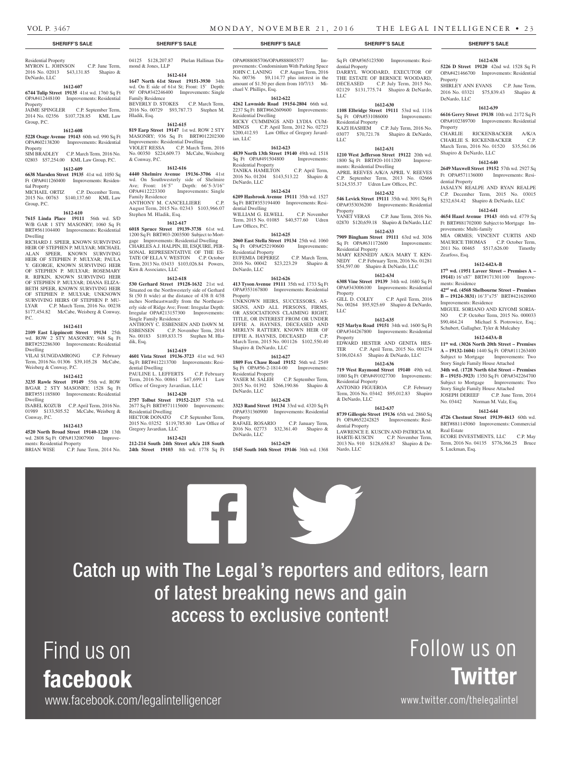# **SHERIFF'S SALE SHERIFF'S SALE SHERIFF'S SALE SHERIFF'S SALE SHERIFF'S SALE**

# Residential Property MYRON L. JOHNSON C.P. June Term,

2016 No. 02013 \$43,131.85 Shapiro & DeNardo, LLC

#### **1612-607**

**6744 Tulip Street 19135** 41st wd. 1760 Sq Ft OPA#412448100 Improvements: Residential Property

JAIME SPINGLER C.P. September Term, 2014 No. 02356 \$107,728.85 KML Law Group, P.C.

#### **1612-608**

#### **5228 Osage Avenue 19143** 60th wd. 990 Sq Ft OPA#602138200 Improvements: Residential Property

SIM BRADLEY C.P. March Term, 2016 No. 02803 \$57,254.00 KML Law Group, P.C.

#### **1612-609**

**6638 Marsden Street 19135** 41st wd. 1050 Sq Improvements: Residential Property<br>MICHAEL ORTIZ C.P. December Term,

2015 No. 00763 \$140,137.60 KML Law Group, P.C.

# **1612-610**

**7615 Linda Place 19111** 56th wd. S/D W/B GAR 1 STY MASONRY; 1060 Sq Ft BRT#561104400 Improvements: Residential Dwelling

RICHARD J. SPEER, KNOWN SURVIVING HEIR OF STEPHEN P. MULYAR; MICHAEL ALAN SPEER, KNOWN SURVIVING HEIR OF STEPHEN P. MULYAR; PAULA Y. GEORGE, KNOWN SURVIVING HEIR OF STEPHEN P. MULYAR; ROSEMARY R. RIFKIN, KNOWN SURVIVING HEIR OF STEPHEN P. MULYAR; DIANA ELIZA-BETH SPEER, KNOWN SURVIVING HEIR OF STEPHEN P. MULYAR; UNKNOWN SURVIVING HEIRS OF STEPHEN P. MIL-LYAR C.P. March Term, 2016 No. 00238 \$177,454.82 McCabe, Weisberg & Conway, P.C.

#### **1612-611**

**2109 East Lippincott Street 19134** 25th wd. ROW 2 STY MASONRY; 948 Sq Ft BRT#252286300 Improvements: Residential Dwelling

VILAI SUNGDAMRONG C.P. February Term, 2016 No. 01306 \$39,105.28 McCabe, Weisberg & Conway, P.C.

#### **1612-612**

**3235 Rawle Street 19149** 55th wd. ROW B/GAR 2 STY MASONRY; 1528 Sq Ft BRT#551185800 Improvements: Residential Dwelling ISABEL KOZUB C.P. April Term, 2016 No.

01989 \$133,505.52 McCabe, Weisberg & Conway, P.C.

# **1612-613**

**4520 North Broad Street 19140-1220** 13th wd. 2808 Sq Ft OPA#132007900 Improve-

ments: Residential Property<br>BRIAN WISE C.P. Jun C.P. June Term, 2014 No.

Find us on

facebook

www.facebook.com/legalintelligencer

04125 \$128,207.87 Phelan Hallinan Diamond & Jones, LLP **1612-614**

**1647 North 61st Street 19151-3930** 34th

wd. On E side of 61st St; Front: 15' Depth: 90' OPA#342246400 Improvements: Single Family Residence BEVERLY D. STOKES C.P. March Term, 2016 No. 00729 \$93,787.73 Stephen M. Hladik, Esq.

#### **1612-615**

**819 Earp Street 19147** 1st wd. ROW 2 STY MASONRY; 936 Sq Ft BRT#012202300 Improvements: Residential Dwelling<br>VIOLET RESSA C.P. March To C.P. March Term, 2016 No. 00350 \$224,609.73 McCabe, Weisberg & Conway, P.C.

#### **1612-616**

**4440 Shelmire Avenue 19136-3706** 41st wd. On Southwesterly side of Shelmire Ave; Front: 16'5" Depth: 66'5-3/16" OPA#412223300 Improvements: Single Family Residence ANTHONY M. CANCELLIERE C.P. August Term, 2015 No. 02343 \$103,966.07 Stephen M. Hladik, Esq.

### **1612-617**

**6018 Spruce Street 19139-3738** 61st wd. 1200 Sq Ft BRT#03-2003500 Subject to Mortgage Improvements: Residential Dwelling CHARLES A.J. HALPIN, III, ESQUIRE, PER-SONAL REPRESENTATIVE OF THE ES-TATE OF ELLA V. WESTON C.P. October Term, 2013 No. 03433 \$103,026.84 Powers, Kirn & Associates, LLC

#### **1612-618**

**530 Gerhard Street 19128-1632** 21st wd. Situated on the Northwesterly side of Gerhard St (50 ft wide) at the distance of 438 ft 4/38 inches Northeastwardly from the Northeasterly side of Ridge Ave; Front: Irregular Depth: Irregular OPA#213157300 Improvements: Single Family Residence ANTHONY C. ESBENSEN AND DAWN M.<br>ESBENSEN C.P. November Term, 2014

C.P. November Term, 2014 No. 00183 \$189,833.75 Stephen M. Hladik, Esq.

#### **1612-619**

**4601 Vista Street 19136-3723** 41st wd. 943 Sq Ft BRT#412213700 Improvements: Residential Dwelling PAULINE L. LEFFERTS C.P. February Term, 2016 No. 00861 \$47,699.11 Law Office of Gregory Javardian, LLC

#### **1612-620**

**2757 Tolbut Street 19152-2137** 57th wd. 2677 Sq Ft BRT#571115600 Improvements: Residential Dwelling<br>HECTOR DONATO C.P. September Term, 2015 No. 03252 \$119,785.80 Law Office of Gregory Javardian, LLC

# **1612-621**

**212-214 South 24th Street a/k/a 218 South** 

OPA#088085706/OPA#888085577 Improvements: Condominium With Parking Space<br>JOHN C. LANING C.P. August Term, 2016 C.P. August Term, 2016 No. 00736 \$9,114.77 plus interest in the amount of \$1.50 per diem from 10/7/13 Michael V. Phillips, Esq.

#### **1612-622**

**4262 Lawnside Road 19154-2804** 66th wd. 2237 Sq Ft BRT#662609600 Improvements: Residential Dwelling RICKY CUMMINGS AND LYDIA CUM-MINGS C.P. April Term, 2012 No. 02723 \$200,412.93 Law Office of Gregory Javardian, LLC

### **1612-623**

**4839 North 13th Street 19140** 49th wd. 1518 Sq Ft OPA#491504800 Residential Property TANIKA HAMILTON C.P. April Term, 2016 No. 01204 \$143,513.22 Shapiro &

# **1612-624**

DeNardo, LLC

Law Offices, P.C.

**6209 Hasbrook Avenue 19111** 35th wd. 1527 Sq Ft BRT#353194400 Improvements: Residential Dwelling WILLIAM G. ELWELL C.P. November Term, 2015 No. 01085 \$40,577.60 Udren

## **1612-625**

**2060 East Stella Street 19134** 25th wd. 1060 Sq Ft OPA#252190600 Improvements: Residential Property EUFEMIA DEPEREZ C.P. March Term, 2016 No. 00042 \$23,223.29 Shapiro & DeNardo, LLC

#### **1612-626**

**413 Tyson Avenue 19111** 35th wd. 1733 Sq Ft OPA#353167800 Improvements: Residential Property

UNKNOWN HEIRS, SUCCESSORS, AS-SIGNS, AND ALL PERSONS, FIRMS, OR ASSOCIATIONS CLAIMING RIGHT, TITLE, OR INTEREST FROM OR UNDER EFFIE A. HAYNES, DECEASED AND MERLYN RATTERY, KNOWN HEIR OF EFFIE A. HAYNES, DECEASED C.P. March Term, 2015 No. 001126 \$102,550.40 Shapiro & DeNardo, LLC

#### **1612-627**

**1809 Fox Chase Road 19152** 56th wd. 2549 Sq Ft OPA#56-2-1814-00 Improvements: Residential Property YASER M. SALEH C.P. September Term, 2015 No. 01392 \$266,190.86 Shapiro & DeNardo, LLC

#### **1612-628**

**3323 Rand Street 19134** 33rd wd. 4320 Sq Ft OPA#331360900 Improvements: Residential Property RAFAEL ROSARIO C.P. January Term,

2016 No. 02773 \$32,361.40 Shapiro & DeNardo, LLC

# **1612-629**

**24th Street 19103** 8th wd. 1778 Sq Ft **1545 South 16th Street 19146** 36th wd. 1368

Catch up with The Legal 's reporters and editors, learn

of latest breaking news and gain

access to exclusive content!

Sq Ft OPA#365123500 Improvements: Residential Property DARRYL WOODARD, EXECUTOR OF THE ESTATE OF BERNICE WOODARD, DECEASED C.P. July Term, 2015 No. 02129 \$131,775.74 Shapiro & DeNardo, LLC

## **1612-630**

**1108 Elbridge Street 19111** 53rd wd. 1116 Sq Ft OPA#531086000 Improvements: Residential Property KAZI HASHEM C.P. July Term, 2016 No.

03077 \$70,721.78 Shapiro & DeNardo, LLC **1612-631**

**1210 West Jefferson Street 19122** 20th wd. 1800 Sq Ft BRT#20-1011200 Improvements: Residential Dwelling APRIL REEVES A/K/A APRIL V. REEVES C.P. September Term, 2013 No. 02666 \$124,535.37 Udren Law Offices, P.C.

#### **1612-632**

**546 Levick Street 19111** 35th wd. 3091 Sq Ft OPA#353036200 Improvements: Residential Property<br>YANET VERAS C.P. June Term, 2016 No.

02870 \$120,659.18 Shapiro & DeNardo, LLC **1612-633**

**7909 Bingham Street 19111** 63rd wd. 3036 Sq Ft OPA#631172600 Improvements: Residential Property MARY KENNEDY A/K/A MARY T. KEN-

NEDY C.P. February Term, 2016 No. 01281 \$54,597.00 Shapiro & DeNardo, LLC **1612-634**

**6308 Vine Street 19139** 34th wd. 1680 Sq Ft OPA#343006100 Improvements: Residential

Property<br>GILL D. COLEY C.P. April Term, 2016 No. 00264 \$95,925.69 Shapiro & DeNardo, LLC

#### **1612-635**

**925 Marlyn Road 19151** 34th wd. 1600 Sq Ft OPA#344267800 Improvements: Residential **Property** EDWARD HESTER AND GENITA HES-

TER C.P. April Term, 2015 No. 001274 \$106,024.63 Shapiro & DeNardo, LLC **1612-636 719 West Raymond Street 19140** 49th wd. 1080 Sq Ft OPA#491027700 Improvements:

Residential Property ANTONIO FIGUEROA C.P. February Term, 2016 No. 03442 \$95,012.83 Shapiro & DeNardo, LLC

#### **1612-637 8739 Gillespie Street 19136** 65th wd. 2860 Sq

Ft OPA#652242825 Improvements: Residential Property LAWRENCE E. KUSCIN AND PATRICIA M.<br>HARTE-KUSCIN C.P. November Term, C.P. November Term, 2013 No. 910 \$128,658.87 Shapiro & De-Nardo, LLC

#### **1612-638 5226 D Street 19120** 42nd wd. 1528 Sq Ft

OPA#421466700 Improvements: Residential Property SHIRLEY ANN EVANS C.P. June Term, 2016 No. 03321 \$75,839.43 Shapiro & DeNardo, LLC

#### **1612-639**

**6616 Gerry Street 19138** 10th wd. 2172 Sq Ft OPA#102389700 Improvements: Residential Property

CHARLIE RICKENBACKER A/K/A CHARLIE S. RICKENBACKER C.P. March Term, 2016 No. 01520 \$35,561.06 Shapiro & DeNardo, LLC

#### **1612-640**

**2649 Maxwell Street 19152** 57th wd. 2927 Sq Ft OPA#571136000 Improvements: Residential Property

JASALYN REALPE AND RYAN REALPE C.P. December Term, 2015 No. 03015 \$232,634.42 Shapiro & DeNardo, LLC

#### **1612-641**

**4654 Hazel Avenue 19143** 46th wd. 4779 Sq Ft BRT#881702000 Subject to Mortgage Improvements: Multi-family

MIA ORMES; VINCENT CURTIS AND MAURICE THOMAS C.P. October Term, 2011 No. 00465 \$517,626.00 Timothy Zearfoss, Esq.

# **1612-642A-B**

**17th wd. (1951 Laveer Street – Premises A – 19141)** 16'x87' BRT#171301100 Improvements: Residence

**42nd wd. (4568 Shelbourne Street – Premises B -- 19124-3831)** 16'3"x75' BRT#421620900 Improvements: Residence

MIGUEL SORIANO AND KIYOMI SORIA-NO C.P. October Term, 2015 No. 000033 \$90,464.24 Michael S. Piotrowicz, Esq.; Schubert, Gallagher, Tyler & Mulcahey

#### **1612-643A-B**

**11th wd. (3026 North 20th Street – Premises A – 19132-1604)** 1440 Sq Ft OPA#111263400 Subject to Mortgage Improvements: Two Story Single Family House Attached

**34th wd.** (**1728 North 61st Street – Premises B – 19151-3923)** 1350 Sq Ft OPA#342264700 Subject to Mortgage Improvements: Two Story Single Family House Attached JOSEPH DEREEF C.P. June Term, 2014

ECORE INVESTMENTS, LLC C.P. May Term, 2016 No. 04135 \$776,366.25 Bruce

No. 03442 Norman M. Valz, Esq. **1612-644 4726 Chestnut Street 19139-4613** 60th wd. BRT#881145060Improvements: Commercial

Real Estate

S. Luckman, Esq.

Follow us on

www.twitter.com/thelegalintel

**Twitter**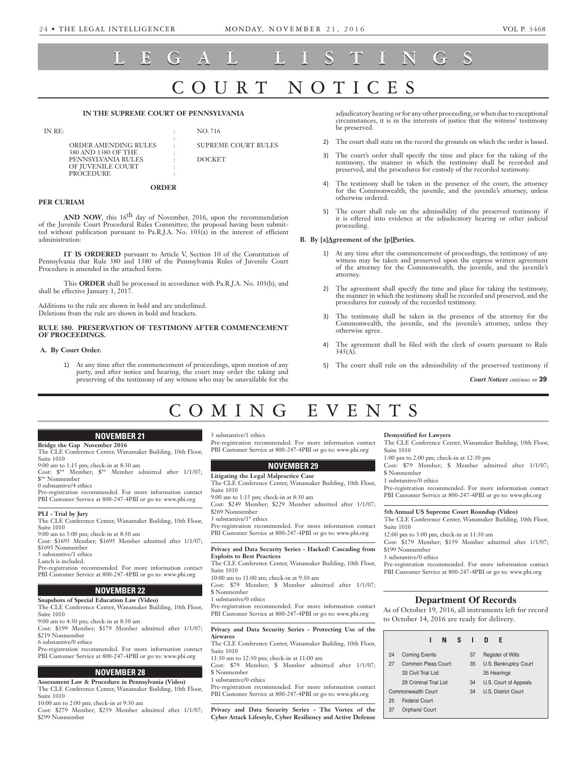# RT NOTICE **LEGAL LISTINGS**

# **IN THE SUPREME COURT OF PENNSYLVANIA**

| IN RE: |                      |           | NO. 716                    |
|--------|----------------------|-----------|----------------------------|
|        |                      |           |                            |
|        | ORDER AMENDING RULES | $\bullet$ | <b>SUPREME COURT RULES</b> |
|        | 380 AND 1380 OF THE  |           |                            |
|        | PENNSYLVANIA RULES   |           | <b>DOCKET</b>              |
|        | OF JUVENILE COURT    |           |                            |
|        | <b>PROCEDURE</b>     |           |                            |

# **ORDER**

# **PER CURIAM**

AND NOW, this 16<sup>th</sup> day of November, 2016, upon the recommendation of the Juvenile Court Procedural Rules Committee; the proposal having been submitted without publication pursuant to Pa.R.J.A. No. 103(a) in the interest of efficient administration:

**IT IS ORDERED** pursuant to Article V, Section 10 of the Constitution of Pennsylvania that Rule 380 and 1380 of the Pennsylvania Rules of Juvenile Court Procedure is amended in the attached form.

This **ORDER** shall be processed in accordance with Pa.R.J.A. No. 103(b), and shall be effective January 1, 2017.

Additions to the rule are shown in bold and are underlined. Deletions from the rule are shown in bold and brackets.

# **RULE 380. PRESERVATION OF TESTIMONY AFTER COMMENCEMENT OF PROCEEDINGS.**

# **A. By Court Order.**

1) At any time after the commencement of proceedings, upon motion of any party, and after notice and hearing, the court may order the taking and preserving of the testimony of any witness who may be unavailable for the adjudicatory hearing or for any other proceeding, or when due to exceptional circumstances, it is in the interests of justice that the witness' testimony be preserved.

- 2) The court shall state on the record the grounds on which the order is based.
- 3) The court's order shall specify the time and place for the taking of the testimony, the manner in which the testimony shall be recorded and preserved, and the procedures for custody of the recorded testimony.
- 4) The testimony shall be taken in the presence of the court, the attorney for the Commonwealth, the juvenile, and the juvenile's attorney, unless otherwise ordered.
- 5) The court shall rule on the admissibility of the preserved testimony if it is offered into evidence at the adjudicatory hearing or other judicial proceeding.

# B. By [a]Agreement of the [p]Parties.

- 1) At any time after the commencement of proceedings, the testimony of any witness may be taken and preserved upon the express written agreement of the attorney for the Commonwealth, the juvenile, and the juvenile's attorney.
- 2) The agreement shall specify the time and place for taking the testimony, the manner in which the testimony shall be recorded and preserved, and the procedures for custody of the recorded testimony.
- 3) The testimony shall be taken in the presence of the attorney for the Commonwealth, the juvenile, and the juvenile's attorney, unless they otherwise agree.
- 4) The agreement shall be filed with the clerk of courts pursuant to Rule  $345(A)$ .
- 5) The court shall rule on the admissibility of the preserved testimony if

*Court Notices continues on* **39**

# COMING EVENTS

# **NOVEMBER 21**

# **Bridge the Gap November 2016**

The CLE Conference Center, Wanamaker Building, 10th Floor, Suite 1010

9:00 am to 1:15 pm; check-in at 8:30 am Cost: \$\*\* Member; \$\*\* Member admitted after 1/1/07;

\$\*\* Nonmember

0 substantive/4 ethics Pre-registration recommended. For more information contact

PBI Customer Service at 800-247-4PBI or go to: www.pbi.org

# **PLI - Trial by Jury**

The CLE Conference Center, Wanamaker Building, 10th Floor, Suite 1010

9:00 am to 5:00 pm; check-in at 8:30 am Cost: \$1695 Member; \$1695 Member admitted after 1/1/07;

\$1695 Nonmember

5 substantive/1 ethics

Lunch is included.

Pre-registration recommended. For more information contact PBI Customer Service at 800-247-4PBI or go to: www.pbi.org

# **NOVEMBER 22**

# **Snapshots of Special Education Law (Video)** The CLE Conference Center, Wanamaker Building, 10th Floor,

Suite 1010

9:00 am to 4:30 pm; check-in at 8:30 am

Cost: \$199 Member; \$179 Member admitted after 1/1/07; \$219 Nonmember

6 substantive/0 ethics

Pre-registration recommended. For more information contact PBI Customer Service at 800-247-4PBI or go to: www.pbi.org

# **NOVEMBER 28**

**Assessment Law & Procedure in Pennsylvania (Video)** The CLE Conference Center, Wanamaker Building, 10th Floor, Suite 1010

10:00 am to 2:00 pm; check-in at 9:30 am

Cost: \$279 Member; \$259 Member admitted after 1/1/07; \$299 Nonmember

3 substantive/1 ethics

Pre-registration recommended. For more information contact PBI Customer Service at 800-247-4PBI or go to: www.pbi.org

# **NOVEMBER 29**

# **Litigating the Legal Malpractice Case**

The CLE Conference Center, Wanamaker Building, 10th Floor, Suite 1010

9:00 am to 1:15 pm; check-in at 8:30 am

Cost: \$249 Member; \$229 Member admitted after 1/1/07; \$269 Nonmember

3 substantive/1\* ethics

Pre-registration recommended. For more information contact PBI Customer Service at 800-247-4PBI or go to: www.pbi.org

## **Privacy and Data Security Series - Hacked! Cascading from Exploits to Best Practices**

The CLE Conference Center, Wanamaker Building, 10th Floor, Suite 1010

10:00 am to 11:00 am; check-in at 9:30 am

Cost: \$79 Member; \$ Member admitted after 1/1/07; \$ Nonmember

1 substantive/0 ethics

Pre-registration recommended. For more information contact PBI Customer Service at 800-247-4PBI or go to: www.pbi.org

# **Privacy and Data Security Series - Protecting Use of the Airwaves**

The CLE Conference Center, Wanamaker Building, 10th Floor, Suite 1010

11:30 am to 12:30 pm; check-in at 11:00 am Cost: \$79 Member; \$ Member admitted after 1/1/07; \$ Nonmember

1 substantive/0 ethics

Pre-registration recommended. For more information contact PBI Customer Service at 800-247-4PBI or go to: www.pbi.org

**Privacy and Data Security Series - The Vortex of the Cyber Attack Lifestyle, Cyber Resiliency and Active Defense** 

# **Demystified for Lawyers**

The CLE Conference Center, Wanamaker Building, 10th Floor, Suite 1010

1:00 pm to 2:00 pm; check-in at 12:30 pm

Cost: \$79 Member; \$ Member admitted after 1/1/07; \$ Nonmember

1 substantive/0 ethics

Pre-registration recommended. For more information contact PBI Customer Service at 800-247-4PBI or go to: www.pbi.org

**5th Annual US Supreme Court Roundup (Video)**

The CLE Conference Center, Wanamaker Building, 10th Floor, Suite 1010

12:00 pm to 3:00 pm; check-in at 11:30 am Cost: \$179 Member; \$159 Member admitted after 1/1/07; \$199 Nonmember

3 substantive/0 ethics

Pre-registration recommended. For more information contact PBI Customer Service at 800-247-4PBI or go to: www.pbi.org

# **Department Of Records**

As of October 19, 2016, all instruments left for record to October 14, 2016 are ready for delivery.

|    |                                            |  | N |    | $S \cup$                 | D                          | F |  |  |
|----|--------------------------------------------|--|---|----|--------------------------|----------------------------|---|--|--|
| 24 | <b>Coming Events</b>                       |  |   | 37 | <b>Register of Wills</b> |                            |   |  |  |
| 27 | Common Pleas Court:<br>33 Civil Trial List |  |   | 35 | U.S. Bankruptcy Court    |                            |   |  |  |
|    |                                            |  |   |    | 35 Hearings              |                            |   |  |  |
|    | 29 Criminal Trial List                     |  |   | 34 | U.S. Court of Appeals    |                            |   |  |  |
|    | Commonwealth Court                         |  |   |    | 34                       | <b>U.S. District Court</b> |   |  |  |
| 25 | Federal Court                              |  |   |    |                          |                            |   |  |  |
| 37 | Orphans' Court                             |  |   |    |                          |                            |   |  |  |
|    |                                            |  |   |    |                          |                            |   |  |  |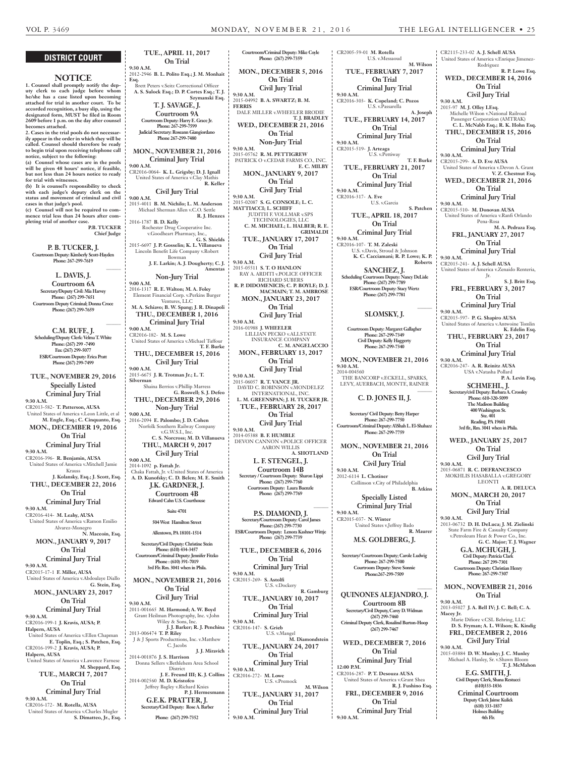Rodriguez

**On Trial Civil Jury Trial**

**On Trial**

**On Trial**

Pena-Rosa

**On Trial**

Jr.

**On Trial**

**On Trial**

USA v.Natasha Pollard

**SCHMEHL, J.**

**Phone: 610-320-5099**

**R. P. Lowe Esq.**

**V. Z. Chestnut Esq.**

**M. A. Pedraza Esq.**

**S. J. Britt Esq.**

**K. Edelin Esq.**

**P. A. Levin Esq.**

# **DISTRICT COURT**

# **NOTICE**

**1. Counsel shall promptly notify the deputy clerk to each judge before whom he/she has a case listed upon becoming attached for trial in another court. To be accorded recognition, a busy slip, using the designated form, MUST be filed in Room 2609 before 1 p.m. on the day after counsel becomes attached.**

**2. Cases in the trial pools do not necessarily appear in the order in which they will be called. Counsel should therefore be ready to begin trial upon receiving telephone call notice, subject to the following: (a) Counsel whose cases are in the pools** 

**will be given 48 hours' notice, if feasible, but not less than 24 hours notice to ready for trial with witnesses. (b) It is counsel's responsibility to check** 

**with each judge's deputy clerk on the status and movement of criminal and civil cases in that judge's pool. (c) Counsel will not be required to commence trial less than 24 hours after completing trial of another case.**

**P.B. TUCKER Chief Judge**

**\_\_\_\_\_\_**

**\_\_\_\_\_\_**

**P. B. TUCKER, J.**

**Courtroom Deputy: Kimberly Scott-Hayden Phone: 267-299-7619**

> **L. DAVIS, J. Courtroom 6A**

**Secretary/Deputy Civil: Mia Harvey Phone: (267) 299-7651 Courtroom Deputy Criminal; Donna Croce Phone: (267) 299-7659**

**C.M. RUFE, J. Scheduling/Deputy Clerk: Velma T. White Phone: (267) 299 -7490 Fax: (267) 299-5077 ESR/Courtroom Deputy: Erica Pratt Phone (267) 299-7499**

**TUE., NOVEMBER 29, 2016 Specially Listed Criminal Jury Trial 9:30 A.M.** CR2013-582- **T. Patterson, AUSA** United States of America v.Leon Little, et al **M. Engle, Esq.; C. Cinquanto, Esq. MON., DECEMBER 19, 2016 On Trial Criminal Jury Trial**

**9:30 A.M.** CR2016-396- **R. Benjamin, AUSA** United States of America v.Mitchell Jamie Krauss **J. Kolansky, Esq.; J. Scott, Esq. THU., DECEMBER 22, 2016 On Trial**

**Criminal Jury Trial 9:30 A.M.** CR2016-414- **M. Leahy, AUSA**

United States of America v.Ramon Emilio Alvarez-Monegro **N. Maceoin, Esq.**

**MON., JANUARY 9, 2017 On Trial Criminal Jury Trial**

**9:30 A.M.** CR2015-17-1 **F. Miller, AUSA** United States of America v.Abdoulaye Diallo

**G. Stein, Esq. MON., JANUARY 23, 2017 On Trial**

**Criminal Jury Trial**

**9:30 A.M.** CR2016-199-1 **J. Kravis, AUSA; P. Halpern, AUSA** United States of America v.Ellen Chapman **E. Toplin, Esq.; S. Patchen, Esq.** CR2016-199-2 **J. Kravis, AUSA; P.** 

**Halpern, AUSA** United States of America v.Lawence Farnese **M. Sheppard, Esq.**

> **TUE., MARCH 7, 2017 On Trial Criminal Jury Trial**

**9:30 A.M.** CR2016-172- **M. Rotella, AUSA** United States of America v.Charles Mugler **S. Dimatteo, Jr., Esq.**

**TUE., APRIL 11, 2017 On Trial 9:30 A.M.** 2012-2946 **B. L. Polito Esq.; J. M. Monhait Esq.** Brett Peters v.Seitz Correctional Officer **A. S. Sulock Esq.; D. P. Cortes Esq.; T. J. Szymanski Esq. T. J. SAVAGE, J. Courtroom 9A Courtroom Deputy: Harry E. Grace Jr. Phone: 267-299-7599 Judicial Secretary: Roseann Giangiordano Phone 267-299-7480 MON., NOVEMBER 21, 2016 Criminal Jury Trial 9:00 A.M.** CR2016-0064- **K. L. Grigsby; D. J. Ignall** United States of America v.Clay Mathis **R. Keller Civil Jury Trial 9:00 A.M.** 2015-4011 **B. M. Nichilo; L. M. Anderson** Michael Sherman Allen v.C.O. Settle **R. J. Henzes** 2016-1787 **B. D. Kelly** Rochester Drug Cooperative Inc. v.Goodheart Pharmacy, Inc., **G. S. Shields** 2015-6697 **J. P. Gosselin; K. L. Villanueva** Lincoln Benefit Life Company v.Robert Bowman **J. E. Larkin; A. J. Dougherty; C. J. Amentas Non-Jury Trial 9:00 A.M.** 2016-1317 **R. E. Walton; M. A. Foley** Element Financial Corp. v.Perkins Burger Ventures, LLC **M. A. Schiavo; B. W. Spang; J. R. Dinapoli THU., DECEMBER 1, 2016 Criminal Jury Trial 9:00 A.M.** CR2016-182- **M. S. Lowe** United States of America v.Michael Tuffour **T. F. Burke THU., DECEMBER 15, 2016 Civil Jury Trial 9:00 A.M.** 2015-6675 **J. R. Trotman Jr.; L. T. Silverman** Shaina Berrios v.Phillip Marress **G. Roswell; S. J. Defeo THU., DECEMBER 29, 2016 Non-Jury Trial 9:00 A.M.** 2016-2094 **E. Palombo; J. D. Cohen** Norfolk Southern Railway Company v.G.W.S.I., Inc. **C. S. Norcross; M. D. Villanueva THU., MARCH 9, 2017 Civil Jury Trial 9:00 A.M.** 2014-1092 **p. Fattah Jr.** Chaka Fattah, Jr. v.United States of America **A. D. Kunofsky; C. D. Belen; M. E. Smith J.K. GARDNER, J. Courtroom 4B Edward Cahn U.S. Courthouse Suite 4701 504 West Hamilton Street Allentown, PA 18101-1514 Secretary/Civil Deputy: Christine Stein Phone: (610) 434-3457 Courtroom/Criminal Deputy: Jennifer Fitzko Phone : (610) 391-7019 3rd Flr. Rm. 3041 when in Phila. MON., NOVEMBER 21, 2016 On Trial Civil Jury Trial 9:30 A.M.** 2011-001665 **M. Harmond; A. W. Boyd** Grant Heilman Photography, Inc. v.John Wiley & Sons, Inc. **J. J. Barker; R. J. Penchina** 2013-006474 **T. P. Riley** J & J Sports Producttions, Inc. v.Matthew C. Jacobs **J. J. Miravich** 2014-001876 **J. S. Harrison** Donna Sellers v.Bethlehem Area School District **J. E. Freund III; K. J. Collins** 2014-002560 **M. D. Kristofco** Jeffrey Bagley v.Richard Knies **FERRIS**

**P. J. Hermesmann**

**G.E.K. PRATTER, J. Secretary/Civil Deputy: Rose A. Barber Phone: (267) 299-7352**

**Courtroom/Criminal Deputy: Mike Coyle Phone: (267) 299-7359 MON., DECEMBER 5, 2016 On Trial Civil Jury Trial 9:30 A.M.** 2015-04992 **B. A. SWARTZ; B. M.**  DALE MILLER v.WHEELER BRODIE **T. J. BRADLEY WED., DECEMBER 21, 2016 On Trial Non-Jury Trial 9:30 A.M.** 2015-05762 **R. M. PETTIGREW** PATRICK O v.CEDAR FARMS CO., INC. **E. C. MILBY MON., JANUARY 9, 2017 On Trial Civil Jury Trial 9:30 A.M.** 2015-02087 **S. G. CONSOLE; L. C. MATTIACCI; L. SCHIFF** JUDITH F. VOLLMAR v.SPS TECHNOLOGIES, LLC **C. M. MICHAEL; L. HALBER; R. E. GRIMALDI TUE., JANUARY 17, 2017 On Trial Civil Jury Trial 9:30 A.M.** 2015-05511 **S. T. O HANLON** RAY A. ARDITI v.POLICE OFFICER RICHARD SUBERS **R. P. DIDOMENICIS; C. P. BOYLE; D. J. MACMAIN; T. M. AMBROSE MON., JANUARY 23, 2017 On Trial Civil Jury Trial 9:30 A.M.** 2016-01988 **J. WHEELER** LILLIAN PECKO v.ALLSTATE INSURANCE COMPANY **C. M. ANGELACCIO MON., FEBRUARY 13, 2017 On Trial Civil Jury Trial 9:30 A.M.** 2015-06057 **R. T. VANCE JR.** DAVID C. ROBINSON v.MONDELEZ INTERNATIONAL, INC. **L. M. GREENSPAN; J. H. TUCKER JR. TUE., FEBRUARY 28, 2017 On Trial Civil Jury Trial 9:30 A.M.** 2014-05388 **B. F. HUMBLE** DEVON CANNON v.POLICE OFFICER AARON WILLIS **A. SHOTLAND L. F. STENGEL, J. Courtroom 14B Secretary / Courtroom Deputy: Sharon Lippi Phone: (267) 299-7760 Courtroom Deputy: Laura Buenzle Phone: (267) 299-7769 \_\_\_\_\_\_ P.S. DIAMOND, J. Secretary/Courtroom Deputy: Carol James Phone: (267) 299-7730 ESR/Courtroom Deputy: Lenora Kashner Wittje Phone: (267) 299-7739 TUE., DECEMBER 6, 2016 On Trial Criminal Jury Trial 9:30 A.M.** CR2015-269- **S. Astolfi** U.S. v.Dockery **R. Gamburg TUE., JANUARY 10, 2017 On Trial Criminal Jury Trial 9:30 A.M.** CR2016-147- **S. Grieb** U.S. v.Mangel **M. Diamondstein TUE., JANUARY 24, 2017 On Trial Criminal Jury Trial 9:30 A.M.** CR2016-272- **M. Lowe** U.S. v.Premock

**TUE., JANUARY 31, 2017 On Trial Criminal Jury Trial 9:30 A.M.**

**M. Wilson**

**9:30 A.M.**

CR2005-59-01 **M. Rotella** U.S. v.Messaoud **M. Wilson TUE., FEBRUARY 7, 2017 On Trial Criminal Jury Trial 9:30 A.M.** CR2016-303- **K. Copeland; C. Pozos** U.S. v.Passarella **A. Joseph TUE., FEBRUARY 14, 2017 On Trial Criminal Jury Trial 9:30 A.M.** CR2015-519- **J. Arteaga** U.S. v.Pettiway **T. F. Burke TUE., FEBRUARY 21, 2017 On Trial Criminal Jury Trial 9:30 A.M.** CR2016-317- **A. Eve** U.S. v.Garcia **S. Patchen TUE., APRIL 18, 2017 On Trial Criminal Jury Trial 9:30 A.M.** CR2016-107- **T. M. Zaleski** U.S. v.Davis, Stroud & Johnson **K. C. Cacciamani; R. P. Lowe; K. P. Roberts SANCHEZ, J. Scheduling Courtroom Deputy: Nancy DeLisle Phone: (267) 299-7789 ESR/Courtroom Deputy: Stacy Wertz Phone: (267) 299-7781 \_\_\_\_\_\_ SLOMSKY, J. Courtroom Deputy: Margaret Gallagher Phone: 267-299-7349 Civil Deputy: Kelly Haggerty Phone: 267-299-7340 MON., NOVEMBER 21, 2016 9:30 A.M.** 2014-004560 THE BANCORP v.ECKELL, SPARKS, LEVY, AUERBACH, MONTE, RAINER **\_\_\_\_\_\_ C. D. JONES II, J. Secretary/ Civil Deputy: Betty Harper Phone: 267-299-7750 Courtroom/Criminal Deputy: A'iShah L. El-Shabazz Phone: 267-299-7759 MON., NOVEMBER 21, 2016 On Trial Civil Jury Trial 9:30 A.M.** 2012-6114 **L. Chotiner** Collinson v.City of Philadelphia **B. Atkins Specially Listed Criminal Jury Trial 9:30 A.M.** CR2015-037- **N. Winter** United States v.Jeffrey Bado **R. Maurer M.S. GOLDBERG, J. Secretary/ Courtroom Deputy; Carole Ludwig Phone: 267-299-7500 Courtroom Deputy: Steve Sonnie Phone:267-299-7509 \_\_\_\_\_\_ QUINONES ALEJANDRO, J. Courtroom 8B Secretary/Civil Deputy, Carey D. Widman (267) 299-7460 Criminal Deputy Clerk, Rosalind Burton-Hoop (267) 299-7467 WED., DECEMBER 7, 2016 On Trial Criminal Jury Trial** CR2115-233-02 **A. J. Schell AUSA** United States of America v.Enrique Jimenez-**WED., DECEMBER 14, 2016 9:30 A.M.** 2015-97 **M. J. Olley LEsq.** Michelle Wilson v.National Railroad Passenger Corporation (AMTRAK) **C. L. McNabb Esq.; R. K. Hohn Esq. THU., DECEMBER 15, 2016 Criminal Jury Trial 9:30 A.M.** CR2015-299- **A. D. Eve AUSA** United States of America v.Devon A. Grant **WED., DECEMBER 21, 2016 Criminal Jury Trial 9:30 A.M.** CR2015-510- **M. Donovan AUSA** United States of America v.Ranfi Orlando **FRI., JANUARY 27, 2017 Criminal Jury Trial 9:30 A.M.** CR2015-241- **A. J. Schell AUSA** United States of America v.Zenaido Renteria, **FRI., FEBRUARY 3, 2017 Criminal Jury Trial 9:30 A.M.** CR2015-597- **P. G. Shapiro AUSA** United States of America v.Antwoine Tomlin **THU., FEBRUARY 23, 2017 Criminal Jury Trial 9:30 A.M.** CR2016-247- **A. R. Reinitz AUSA Secretary/civil Deputy: Barbara A. Crossley 9:30 A.M. 9:30 A.M. 9:30 A.M. Macey Jr. 9:30 A.M.**

**Ste. 401 Reading, PA 19601 3rd flr., Rm. 3041 when in Phila. WED., JANUARY 25, 2017 On Trial Civil Jury Trial** 2015-06871 **R. C. DEFRANCESCO** MOKHLIS HASABALLA v.GREGORY LEONTI **A. R. DELUCA On Trial Civil Jury Trial G. C. Major; T. J. Wagner G.A. MCHUGH, J. Civil Deputy: Patricia Clark Phone: 267 299-7301 Phone: 267-299-7307 On Trial** Marie Difiore v.CSL Behring, LLC

2015-03884 **D. W. Munley; J. C. Munley** Michael A. Hanley, Sr. v.Shawn Bloom **T. J. McMahon**

**12:00 P.M.** CR2016-287- **P. T. Desouza AUSA** United States of America v.Grant Shea **R. J. Fushino Esq. FRI., DECEMBER 9, 2016 On Trial Criminal Jury Trial**

**The Madison Building 400 Washington St.**

**MON., MARCH 20, 2017**

2013-06732 **D. H. DeLuca; J. M. Zielinski** State Farm Fire & Casualty Company v.Petroleum Heat & Power Co., Inc.

**Courtroom Deputy: Christian Henry**

**MON., NOVEMBER 21, 2016**

2013-05027 **J. A. Bell IV; J. C. Bell; C. A.** 

**D. S. Fryman; A. L. Wilson; K. Kindig FRI., DECEMBER 2, 2016 Civil Jury Trial**

**E.G. SMITH, J. Civil Deputy Clerk, Shana Restucci (610)333-1836 Criminal Courtroom Deputy Clerk Jaime Kulick**

**(610) 333-1837 Holmes Building 4th Flr.**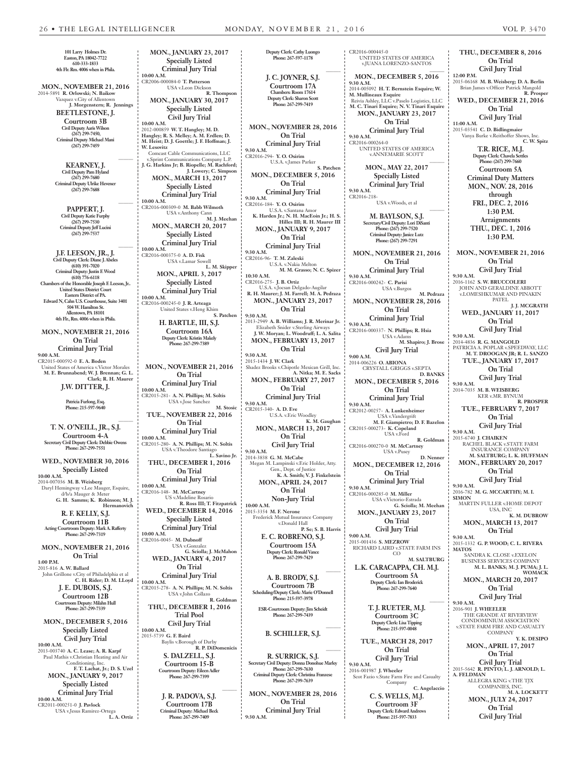CR2016-000445-0

**Easton, PA 18042-7722 610-333-1833 4th Flr. Rm. 4006 when in Phila. MON., NOVEMBER 21, 2016** 2014-5891 **R. Orlowski; N. Baikow** Vazquez v.City of Allentown **J. Morgenstern; R. Jennings**

**101 Larry Holmes Dr.**

**BEETLESTONE, J. Courtroom 3B Civil Deputy Aaris Wilson (267) 299-7450, Criminal Deputy Michael Mani (267) 299-7459**

**KEARNEY, J. Civil Deputy Pam Hyland (267) 299-7680 Criminal Deputy Ulrike Hevener (267) 299-7688**

**\_\_\_\_\_\_**

**\_\_\_\_\_\_**

**\_\_\_\_\_\_**

**\_\_\_\_\_\_**

**PAPPERT, J. Civil Deputy Katie Furphy (267) 299-7530 Criminal Deputy Jeff Lucini (267) 299-7537**

**J.F. LEESON, JR., J. Civil Duputy Clerk: Diane J. Abeles (610) 391-7020 Criminal Deputy: Justin F. Wood (610) 776-6118 Chambers of the Honorable Joseph F. Leeson, Jr.. United States District Court Eastern District of PA. Edward N, Cahn U.S. Courthouse, Suite 3401 504 W. Hamilton St. Allentown, PA 18101 4th Flr., Rm. 4006 when in Phila.**

**MON., NOVEMBER 21, 2016 On Trial Criminal Jury Trial 9:00 A.M.** CR2015-000592-0 **E. A. Boden** United States of America v.Victor Morales **M. E. Brunnabend; W. J. Brennan; G. L. Clark; R. H. Maurer J.W. DITTER, J.**

 **Patricia Furlong, Esq. Phone: 215-597-9640**

**T. N. O'NEILL, JR., S.J. Courtroom 4-A Secretary Civil Deputy Clerk: Debbie Owens Phone: 267-299-7551**

**WED., NOVEMBER 30, 2016 Specially Listed 10:00 A.M.** 2014-007036 **M. B. Weisberg** Daryl Hemingway v.Lee Mauger, Esquire, d/b/a Mauger & Meter

**Hermanovich R. F. KELLY, S.J. Courtroom 11B Acting Courtroom Deputy: Mark A. Rafferty**

**G. H. Samms; K. Robinson; M. J.** 

**Phone: 267-299-7319 MON., NOVEMBER 21, 2016**

**On Trial 1:00 P.M.** 2015-816 **A. W. Ballard** John Grillone v.City of Philadelphia et al **C. H. Rider; D. M. LLoyd**

**J. E. DUBOIS, S.J. Courtroom 12B Courtroom Deputy: Milahn Hull Phone: 267-299-7339**

**MON., DECEMBER 5, 2016 Specially Listed Civil Jury Trial**

**10:00 A.M.** 2013-003740 **A. C. Lease; A. R. Karpf** Paul Mathis v.Christian Heating and Air Conditioning, Inc. **F. T. Lachat, Jr.; D. S. Uzel MON., JANUARY 9, 2017 Specially Listed Criminal Jury Trial**

**10:00 A.M.** CR2011-000251-0 **J. Pavlock** USA v.Jesus Ramirez-Ortega **L. A. Ortiz**

**MON., JANUARY 23, 2017 Specially Listed Criminal Jury Trial 10:00 A.M.** CR2006-000084-0 **T. Patterson** USA v.Leon Dickson **R. Thompson MON., JANUARY 30, 2017 Specially Listed Civil Jury Trial 10:00 A.M.** 2012-000859 **W. T. Hangley; M. D. Hangley; R. S. Melley; A. M. Erdlen; D. M. Heist; D. J. Goettle; J. F. Hoffman; J. W. Lesovitz** Comcast Cable Communications, LLC v.Sprint Communications Company L.P. **J. G. Harkins Jr; B. Riopelle; M. Rachford; J. Lowery; C. Simpson MON., MARCH 13, 2017 Specially Listed Criminal Jury Trial 10:00 A.M.** CR2016-000309-0 **M. Babb Wilmoth** USA v.Anthony Cann **M. J. Meehan MON., MARCH 20, 2017 Specially Listed Criminal Jury Trial 10:00 A.M.** CR2016-000375-0 **A. D. Fisk** USA v.Lamar Sowell **L. M. Skipper MON., APRIL 3, 2017 Specially Listed Criminal Jury Trial 10:00 A.M.** CR2016-000245-0 **J. R. Arteaga** United States v.Heng Khim **S. Patchen H. BARTLE, III, S.J. Courtroom 16A Deputy Clerk: Kristin Makely Phone: 267-299-7389 MON., NOVEMBER 21, 2016 On Trial Criminal Jury Trial 10:00 A.M.** CR2015-281- **A. N. Phillips; M. Soltis** USA v.Jose Sanchez **M. Stosic TUE., NOVEMBER 22, 2016 On Trial Criminal Jury Trial 10:00 A.M.** CR2015-280- **A. N. Phillips; M. N. Soltis** USA v.Theodore Santiago **L. Savino Jr. THU., DECEMBER 1, 2016 On Trial Criminal Jury Trial 10:00 A.M.** CR2016-148- **M. McCartney** US v.Madeline Rosario **R. Ross III; T. Fitzpatrick WED., DECEMBER 14, 2016 Specially Listed Criminal Jury Trial 10:00 A.M.** CR2016-0045- **M. Dubnoff** USA v.Gonzalez **G. Sciolla; J. McMahon WED., JANUARY 4, 2017 On Trial Criminal Jury Trial 10:00 A.M.** CR2015-278- **A. N. Phillips; M. N. Soltis** USA v.John Collazo **R. Goldman THU., DECEMBER 1, 2016 Trial Pool Civil Jury Trial 10:00 A.M.** 2015-5739 **G. F. Baird** Baylis v.Borough of Darby **R. P. DiDomenicis S. DALZELL, S.J. Courtroom 15-B**

**Courtroom Deputy: Eileen Adler Phone: 267-299-7399 \_\_\_\_\_\_**

**J. R. PADOVA, S.J. Courtroom 17B Criminal Deputy: Michael Beck Phone: 267-299-7409** 

**Deputy Clerk: Cathy Luongo Phone: 267-597-1178 \_\_\_\_\_\_ J. C. JOYNER, S.J. Courtroom 17A Chambers: Room 17614 Deputy Clerk: Sharon Scott Phone: 267-299-7419 MON., NOVEMBER 28, 2016 On Trial Criminal Jury Trial 9:30 A.M.** CR2016-294- **Y. O. Osirim** U.S.A. v.James Parker **S. Patchen MON., DECEMBER 5, 2016 On Trial Criminal Jury Trial 9:30 A.M.** CR2016-184- **Y. O. Osirim** U.S.A. v.Santana Amor **K. Harden Jr.; N. H. MacEoin Jr.; H. S. Hilles III; R. H. Maurer III MON., JANUARY 9, 2017 On Trial Criminal Jury Trial 9:30 A.M.** CR2016-96- **T. M. Zaleski** U.S.A. v.Nakia Melton **M. M. Grasso; N. C. Spizer 10:30 A.M.** CR2016-275- **J. B. Ortiz** U.S.A. v.Jocsan Delgado-Augilar **R. H. Maurer; J. M. Farrell; M. A. Pedraza MON., JANUARY 23, 2017 On Trial 9:30 A.M.** 2013-2949 **A. B. Williams; J. R. Merinar Jr.** Elizabeth Snider v.Sterling Airways **J. W. Moryan; L. Woodruff; L. A. Salita MON., FEBRUARY 13, 2017 On Trial 9:30 A.M.** 2015-1434 **J. W. Clark** Shadez Brooks v.Chipotle Mexican Grill, Inc. **A. Nitka; M. E. Sacks MON., FEBRUARY 27, 2017 On Trial Criminal Jury Trial 9:30 A.M.** CR2015-340- **A. D. Eve** U.S.A. v.Eric Woodley **K. M. Gaughan MON., MARCH 13, 2017 On Trial Civil Jury Trial 9:30 A.M.** 2014-3838 **G. M. McCabe** Megan M. Lampinski v.Eric Holder, Atty. Gen., Dept. of Justice **K. A. Smith; V. J. Finkelstein MON., APRIL 24, 2017 On Trial Non-Jury Trial 10:00 A.M.** 2015-3354 **M. F. Nerone** Frederick Mutual Insurance Company v.Donald Hall **P. Se; S. B. Harris E. C. ROBRENO, S.J. Courtroom 15A Deputy Clerk: Ronald Vance Phone: 267-299-7429 \_\_\_\_\_\_ A. B. BRODY, S.J. Courtroom 7B Scheduling/Deputy Clerk: Marie O'Donnell Phone: 215-597-3978 ESR-Courtroom Deputy: Jim Scheidt Phone: 267-299-7439 \_\_\_\_\_\_ B. SCHILLER, S.J. \_\_\_\_\_\_ R. SURRICK, S.J. Secretary Civil Deputy: Donna Donohue Marley Phone: 267-299-7630 Criminal Deputy Clerk: Christina Franzese Phone: 267-299-7639 MON., NOVEMBER 28, 2016 On Trial**

**Criminal Jury Trial**

**9:30 A.M.**

UNITED STATES OF AMERICA v.JUANA LORENZO-SANTOS **\_\_\_\_\_\_ MON., DECEMBER 5, 2016 9:30 A.M.** 2014-005092 **H. T. Bernstein Esquire; W. M. Mullineaux Esquire** Reivia Ashley, LLC v.Paselo Logistics, LLC **M. C. Tinari Esquire; N. V. Tinari Esquire MON., JANUARY 23, 2017 On Trial Criminal Jury Trial 9:30 A.M.** CR2016-000264-0 UNITED STATES OF AMERICA v.ANNEMARIE SCOTT **\_\_\_\_\_\_ MON., MAY 22, 2017 Specially Listed Criminal Jury Trial 9:30 A.M.** CR2016-218- USA v.Woods, et al **\_\_\_\_\_\_ M. BAYLSON, S.J. Secretary/Civil Deputy: Lori DiSanti Phone: (267) 299-7520 Criminal Deputy: Janice Lutz Phone: (267) 299-7291 MON., NOVEMBER 21, 2016 On Trial Criminal Jury Trial 9:30 A.M.** CR2016-000242- **C. Parisi** USA v.Burgos **M. Pedraza MON., NOVEMBER 28, 2016 On Trial Criminal Jury Trial 9:30 A.M.** CR2016-000337- **N. Phillips; R. Hsia** USA v.Adams **M. Shapiro; J. Brose Civil Jury Trial 9:00 A.M.** 2014-006226 **O. ABIONA** CRYSTALL GRIGGS v.SEPTA **D. BANKS MON., DECEMBER 5, 2016 On Trial Criminal Jury Trial 9:30 A.M.** CR2012-00257- **A. Lunkenheimer** USA v.Vandergrift **M. F. Giampietro; D. F. Bazelon** CR2015-000273- **K. Copeland** USA v.Ford **R. Goldman** CR2016-000270-0 **M. McCartney** USA v.Pusey **D. Nenner MON., DECEMBER 12, 2016 On Trial Criminal Jury Trial 9:30 A.M.** CR2016-000285-0 **M. Miller** USA v.Victorio-Estrada **G. Sciolla; M. Meehan MON., JANUARY 23, 2017 On Trial Civil Jury Trial 9:00 A.M.** 2015-001436 **S. MEZROW** RICHARD LAIRD v.STATE FARM INS CO **M. SALTBURG L.K. CARACAPPA, CH. M.J. Courtroom 5A Deputy Clerk: Ian Broderick Phone: 267-299-7640 \_\_\_\_\_\_ T. J. RUETER, M.J. Courtroom 3C Deputy Clerk: Lisa Tipping Phone: 215-597-0048 TUE., MARCH 28, 2017 On Trial Civil Jury Trial 9:30 A.M.** 2016-001987 **J. Wheeler** Scot Fazio v.State Farm Fire and Casualty Company **C. Angelaccio 12:00 P.M. 11:00 A.M. Criminal Duty Matters 9:30 A.M. Civil Jury Trial 9:30 A.M. 9:30 A.M. 9:30 A.M. 9:30 A.M. SIMON 9:30 A.M. MATOS 9:30 A.M. A. FELDMAN**

**C. S. WELLS, M.J. Courtroom 3F Deputy Clerk: Edward Andrews Phone: 215-597-7833**

**THU., DECEMBER 8, 2016 On Trial Civil Jury Trial** 2015-06168 **M. B. Weisberg; D. A. Berlin** Brian James v.Officer Patrick Mangold **R. Prosper WED., DECEMBER 21, 2016**

**On Trial Civil Jury Trial**

2015-03541 **C. D. Bidlingmaier** Vanya Burke v.Reithoffer Shows, Inc. **C. W. Spitz**

> **T.R. RICE, M.J. Deputy Clerk: Chavela Settles Phone: (267) 299-7660 Courtroom 5A**

**MON., NOV. 28, 2016 through FRI., DEC. 2, 2016 1:30 P.M. Arraignments**

**THU., DEC. 1, 2016 1:30 P.M.**

**MON., NOVEMBER 21, 2016 On Trial Civil Jury Trial**

2016-1162 **S. W. BRUCCOLERI** JOHN AND GERALDINE ABBOTT v.LOMESHKUMAR AND PINAKIN PATEL **J. J. MCGRATH**

**WED., JANUARY 11, 2017 On Trial**

2014-4836 **R. G. MANGOLD** PATRICIA A. POPLAR v.SPEEDWAY, LLC **M. T. DROOGAN JR; R. L. SANZO TUE., JANUARY 17, 2017 On Trial Civil Jury Trial**

2014-7035 **M. B. WEISBERG** KER v.MR. BYNUM **R. PROSPER TUE., FEBRUARY 7, 2017**

**On Trial Civil Jury Trial**

2015-6740 **J. CHAIKEN** RACHEL BLACK v.STATE FARM INSURANCE COMPANY **M. SALTBURG; L. K. HUFFMAN MON., FEBRUARY 20, 2017**

> **On Trial Civil Jury Trial**

2016-782 **M. G. MCCARTHY; M. I.**  MARTIN FULLER v.HOME DEPOT

> USA, INC **K. M. DUBROW MON., MARCH 13, 2017**

**On Trial** 2015-1332 **G. P. WOOD; C. L. RIVERA** 

SANDRA K. CLOSE v.EXELON

BUSINESS SERVICES COMPANY **M. L. BANKS; M. J. PUMA; J. L. WOMACK MON., MARCH 20, 2017**

**On Trial Civil Jury Trial**

2016-901 **J. WHEELER** THE GRANDE AT RIVERVIEW CONDOMINIUM ASSOCIATION v.STATE FARM FIRE AND CASUALTY **COMPANY** 

**Y. K. DESIPO MON., APRIL 17, 2017 On Trial**

**Civil Jury Trial** 2015-5642 **R. PINTO; L. J. ARNOLD; L.**  ALLEGRA KING v.THE TJX

COMPANIES, INC. **M. A. LOCKETT MON., JULY 24, 2017**

**On Trial Civil Jury Trial**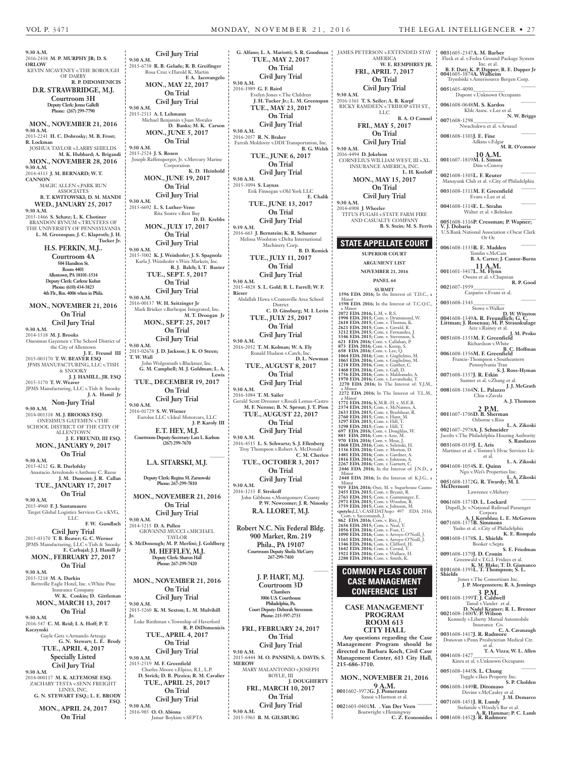**R. P. Good**

**9:30 A.M.** 2016-2438 **M. P. MURPHY JR; D. S. ORLOW** KEVIN MCAVENEY v.THE BOROUGH OF DARBY **R. P. DIDOMENICIS D.R. STRAWBRIDGE, M.J. Courtroom 3H Deputy Clerk: Jenna Gallelli Phone: (267) 299-7790 MON., NOVEMBER 21, 2016 9:30 A.M.** 2013-2241 **H. C. Dobrosky; M. B. Frost; R. Lockman** JOSHUA TAYLOR v.LARRY SHIELDS **M. K. Hubbard; A. Brigandi MON., NOVEMBER 28, 2016 9:30 A.M.** 2014-4313 **J. M. BERNARD; W. T. CANNON** MAGIC ALLEN v.PARK RUN ASSOCIATES **B. T. KWITOWSKI; D. M. MANDI WED., JANUARY 25, 2017 9:30 A.M.** 2015-1466 **S. Schatz; L. K. Chotiner** BRANDON BYNUM v.TRUSTEES OF THE UNIVERSITY OF PENNSYLVANIA **L. M. Greenspan; J. C. Klaproth; J. H. Tucker Jr. H.S. PERKIN, M.J.. Courtroom 4A 504 Hamilton St. Room 4401 Allentown, PA 18101-1514 Deputy Clerk: Carlene Kohut Phone: (610) 434-3823 4th Flr., Rm. 4006 when in Phila. MON., NOVEMBER 21, 2016 On Trial Civil Jury Trial 9:30 A.M.** 2014-1518 **M. J. Brooks** Onesimus Gayemen v.The School District of the City of Allentown **J. E. Freund III** 2015-003170 **T. W. BEAVER ESQ** JPMS MANUFACTURING, LLC v.TISH & SNOOKY **J. J. HAMILL, JR. ESQ** 2015-3170 **T. W. Weaver** JPMS Manufacturing, LLC v.Tish & Snooky **J. A. Hamil Jr Non-Jury Trial 9:30 A.M.** 2014-001518 **M. J. BROOKS ESQ.** ONESIMUS GATEMEN v.THE SCHOOL DISTRICT OF THE CITY OF ALLENTOWN **J. E. FREUND, III ESQ. MON., JANUARY 9, 2017 On Trial 9:30 A.M.** 2015-4212 **G. R. Durlofsky** Anastacio Arredondo v.Anthony C. Reese **J. M. Dumont; J. R. Callan TUE., JANUARY 17, 2017 On Trial 9:30 A.M.** 2015-4960 **F. J. Santamauro** Target Global Logistics Services Co v.KVG, LLC **F. W. Gundlach Civil Jury Trial** 2015-03170 **T. B. Beaver; G. C. Werner** JPMS Manufacturing, LLC v.Tish & Snooky **E. Carbajal; J. J. Hamill Jr MON., FEBRUARY 27, 2017 On Trial 9:30 A.M.** 2015-5218 **M. A. Durkin** Bernville Eagle Hotel, Inc. v.White Pine Insurance Company **W. K. Conkin; D. Gittleman MON., MARCH 13, 2017 On Trial 9:30 A.M.** 2016-547 **C. M. Reid; I. A. Hoff; P. T. Kaczynski** Gayle Getz v.Armando Arteaga **G. N. Stewart; L. E. Brody TUE., APRIL 4, 2017 Specially Listed Civil Jury Trial 9:30 A.M.** 2014-000117 **M. K. ALTEMOSE ESQ.** ZACHARY TESTA v.SENN FREIGHT LINES, INC. **G. N. STEWART ESQ.; L. E. BRODY ESQ. MON., APRIL 24, 2017 On Trial Civil Jury Trial 9:30 A.M.** 2015-6738 **R. B. Gelade; R. B. Greifinger** Rosa Cruz v.Harold K. Martin **F. A. Iacovangelo MON., MAY 22, 2017 On Trial Civil Jury Trial 9:30 A.M.** 2015-2513 **A. I. Lehmann** Michael Benjamin v.Juan Morales **D. Banks; M. K. Carson MON., JUNE 5, 2017 On Trial 9:30 A.M.** 2015-2524 **J. S. Rosen** Joseph Raffensperger, Jr. v.Mercury Marine **Corporation K. D. Heinhold MON., JUNE 19, 2017 On Trial Civil Jury Trial 9:30 A.M.** 2015-6692 **L. S. Luther-Veno** Rita Sostre v.Best Buy **D. D. Krebbs MON., JULY 17, 2017 On Trial Civil Jury Trial 9:30 A.M.** 2015-5002 **K. J. Weinhofer; J. S. Spagnola** Karla J. Weinhofer v.Weis Markets, Inc. **R. J. Balch; I. T. Baxter TUE., SEPT. 5, 2017 On Trial Civil Jury Trial 9:30 A.M.** 2016-00137 **W. H. Seitzinger Jr** Mark Brieker v.Barbeque Integrated, Inc. **M. T. Droogan Jr MON., SEPT. 25, 2017 On Trial Civil Jury Trial 9:30 A.M.** 2015-02676 **J. D. Jackson; J. K. O Steen; T. W. Wall** John Wolgemuth v.Blackmer, Inc. **G. M. Campbell; M. J. Goldman; L. A. TUE., DECEMBER 19, 2017 On Trial Civil Jury Trial 9:30 A.M.** 2016-01729 **S. W. Wiener** Eurolux LLC v.Ideal Motorcars, LLC **J. P. Karoly III E.T. HEY, M.J. Courtroom Deputy-Secretary: Lara L. Karlson (267) 299-7670 L.A. SITARSKI, M.J. Deputy Clerk: Regina M. Zarnowski Phone: 267-299-7810 MON., NOVEMBER 21, 2016 On Trial Civil Jury Trial 9:30 A.M.** 2014-5215 **D. A. Pallen** GIOVANNI MUCCI v.MICHAEL TAYLOR **S. McDonough; M. P. Merlini; J. Goldberg M. HEFFLEY, M.J. Deputy Clerk: Sharon Hall Phone: 267-299-7420 MON., NOVEMBER 21, 2016 On Trial Civil Jury Trial 9:30 A.M.** 2015-5260 **K. M. Sexton; L. M. Mulvihill Jr.** Luke Riethman v.Township of Haverford **R. P. DiDomenicis TUE., APRIL 4, 2017 On Trial Civil Jury Trial 9:30 A.M.** 2015-2519 **M. F. Greenfield** Charles Moore v.Elpizo, R.I., L.P. **D. Strick; D. B. Pizzica; R. M. Cavalier TUE., APRIL 25, 2017 On Trial Civil Jury Trial 9:30 A.M.** 2016-985 **O. O. Abiona** Jamar Boykins v.SEPTA

**Lewis \_\_\_\_\_\_ G. Alfano; L. A. Mariotti; S. R. Goodman** JAMES PETERSON v.EXTENDED STAY **TUE., MAY 2, 2017 On Trial Civil Jury Trial 9:30 A.M.** 2016-1989 **G. F. Baird** Evelyn Jones v.The Children **J. H. Tucker Jr.; L. M. Greenspan TUE., MAY 23, 2017 On Trial Civil Jury Trial 9:30 A.M.** 2016-2057 **R. N. Braker** Farrah Moldover v.DDI Transportation, Inc. **B. G. Welsh TUE., JUNE 6, 2017 On Trial Civil Jury Trial 9:30 A.M.** 2015-3094 **S. Laynas** Erik Finnegan v.Old York LLC **E. Chalik TUE., JUNE 13, 2017 On Trial Civil Jury Trial 9:39 A.M.** 2016-663 **J. Bernstein; K. R. Schuster** Melissa Woolston v.Delta International Machinery Corp. **B. D. Remick TUE., JULY 11, 2017 On Trial Civil Jury Trial 9:30 A.M.** 2015-4828 **S. L. Gold; B. L. Farrell; W. F. Rieser** Abdallah Hawa v.Coatesville Area School District **C. D. Ginsburg; M. I. Levin TUE., JULY 25, 2017 On Trial Civil Jury Trial 9:30 A.M.** 2016-2032 **T. M. Kolman; W. A. Ely** Ronald Hudson v.Catch, Inc. **D. L. Newman TUE., AUGUST 8, 2017 On Trial Civil Jury Trial 9:30 A.M.** 2016-1084 **T. M. Sailer** Gerald Scott Dressner v.Rosali Lemus-Castro **M. F. Nerone; B. N. Sprout; J. T. Pion TUE., AUGUST 22, 2017 On Trial Civil Jury Trial 9:30 A.M.** 2016-4515 **L. S. Schwartz; S. J. Ellenberg** Troy Thompson v.Robert A. McDonald **C. M. Cherico TUE., OCTOBER 3, 2017 On Trial Civil Jury Trial 9:30 A.M.** 2016-1233 **F. Strokoff** John Gibbons v.Montgomery County **P. W. Newcomer; J. R. Ninosky R.A. LLORET, M.J. Robert N.C. Nix Federal Bldg. 900 Market, Rm. 219 Phila., PA 19107 Courtroom Deputy Sheila McCurry 267-299-7410 \_\_\_\_\_\_ J. P. HART, M.J. Courtroom 3D Chambers 3006 U.S. Courthouse Philadelphia, Pa. Court Deputy: Deborah Stevenson Phone: 215-597-2733 FRI., FEBRUARY 24, 2017 On Trial Civil Jury Trial 9:30 A.M.** 2015-6444 **M. O. PANSINI; A. DAVIS; S. MEROW** MARY MALANTONIO v.JOSEPH BOYLE, III **J. DOUGHERTY FRI., MARCH 10, 2017 On Trial Civil Jury Trial 9:30 A.M.** 2015-5963 **B. M. GILSBURG**

AMERICA **W. E. REMPHREY JR. FRI., APRIL 7, 2017 On Trial Civil Jury Trial 9:30 A.M.** 2016-1361 **T. S. Seiler; A. R. Karpf** RICKY RAMDEEN v.TRIHOP 6TH ST., LLC **B. A. O Connel FRI., MAY 5, 2017 On Trial Civil Jury Trial 9:30 A.M.** 2016-4494 **D. Jokelson** CORNELIUS WILLIAM WEST, III v.XL INSURANCE AMERICA, INC. **L. H. Kozloff MON., MAY 15, 2017 On Trial Civil Jury Trial 9:30 A.M.** 2014-6908 **J. Wheeler** TITUS FUGAH v.STATE FARM FIRE AND CASUALTY COMPANY **B. S. Stein; M. S. Ferris STATE APPELLATE COURT SUPERIOR COURT ARGUMENT LIST NOVEMBER 21, 2016 PANEL 64 SUBMIT 1596 EDA 2016;** In the Interest of: T.D.C., a Minor<br>**1598 EDA 2016;** In the Interest of: T.C.Q.C., a Minor  **2072 EDA 2016;** L.M. v. R.S.  **1998 EDA 2015;** Com. v. Drummond, W.  **2618 EDA 2015;** Com. v. Thomas, K. 2621 EDA 2015; Com. v. Gerald, R.<br>3212 EDA 2015; Com. v. Fernandez, J.<br>3346 EDA 2015; Com. v. Stevenson, S.<br>621 EDA 2016; Com. v. Callahan, P.<br>873 EDA 2016; Com. v. Kemp, S.<br>1064 EDA 2016; Com. v. Guglielmo, M.<br>1064 EDA 20  **1218 EDA 2016;** Com. v. Gaither, C.  **1468 EDA 2016;** Com. v. Gall, D.  **1756 EDA 2016;** Com. v. Maldonado, A.  **1970 EDA 2016;** Com. v. Levanduski, T.  **2270 EDA 2016;** In The Interest of: Y.J.M., a Minor  **2272 EDA 2016;** In The Interest of: T.L.M., a Minor<br>
171 EDA 2016; K.M.R.-H. v. M.E.R.<br>
171 EDA 2015; Com. v. McNamee, A.<br>
2374 EDA 2015; Com. v. Bradshear, R.<br>
2633 EDA 2015; Com. v. Hill, T.<br>
3297 EDA 2015; Com. v. Hill, T.<br>
3298 EDA 2015; Com. v. Hill, T.<br>
3298  **2448 EDA 2016;** In the Interest of: K.J.G., a Minor<br>**919 EDA 2016;** Osei, M. v. Sugarhouse Casino<br>**2455 EDA 2015;** Com. v. Gumminger, E.<br>**2763 EDA 2015;** Com. v. Gumminger, E. 2971 EDA 2015; Com. v. Wooden, R.<br>
3759 EDA 2015; Com. v. Johnson, M.<br>
5759 EDA 2016; Com. v. Saccomandi, J.<br>
602 EDA 2016; Com. v. Ritz, J.<br>
862 EDA 2016; Com. v. Ritz, J.<br>
2656 EDA 2015; Com. v. Neal, V.<br>
1056 EDA 2016; **COMMON PLEAS COURT CASE MANAGEMENT CONFERENCE LIST CASE MANAGEMENT PROGRAM ROOM 613 CITY HALL Any questions regarding the Case Management Program should be directed to Barbara Koch, Civil Case Management Center, 613 City Hall, 215-686-3710. MON., NOVEMBER 21, 2016 9 A.M. 001**1602-3972**G. J. Pomerantz** Sanoe v.Harmon et al. **\_\_\_\_\_\_ <sup>002</sup>**1603-0401**M. . Van Der Veen** Boatwright v.Hemingway **C. Z. Economides 003**1605-2347**A. M. Barber** Fleck et al. v.Fedex Ground Package System Inc. et al. **B. F. Datt; K. P. Dapper; R. E. Dapper Jr <sup>004</sup>**1605-3874**A. Walheim** Trymbiski v.Amerisource Bergen Corp. **\_\_\_\_\_\_ <sup>005</sup>**1605-4090**\_\_\_\_\_\_\_\_\_\_\_\_** Dupont v.Unknown Occupants **\_\_\_\_\_\_ <sup>006</sup>**1608-0648**M. S. Kardos** Kblc Assoc. v.Lee et al.<br>N. W. Briggs **007**1608-1298 Nwachukwu et al. v.Arnaud **\_\_\_\_\_\_ <sup>008</sup>**1608-1303**J. E. Fine** Adkins v.Edgar **M. R. O'connor 10 A.M. 001**1607-1819**M. I. Simon** Dim v.Conroy **\_\_\_\_\_\_ <sup>002</sup>**1608-1305**L. F. Reuter** Manayunk Club et al. v.City of Philadelphia **\_\_\_\_\_\_ <sup>003</sup>**1608-1311**M. F. Greenfield** Evans v.Lee et al. **\_\_\_\_\_\_ <sup>004</sup>**1608-1314**E. L. Strahn** Walter et al. v.Behnken **\_\_\_\_\_\_ <sup>005</sup>**1608-1316**P. Cressman; P. Wapner; V. J. Dobaria** U.S.Bank National Association v.Oscar Clark Or Oc **\_\_\_\_\_\_ <sup>006</sup>**1608-1333**R. E. Madden** Tomlin v.McCain **B. A. Carter; J. Cantor-Burns 11 A.M. 001**1601-3417**L. M. Flynn** Owens et al. v.Chapman **002**1607-1959**\_\_\_\_\_\_\_\_\_\_\_\_** Caspario v.Evans et al. **\_\_\_\_\_\_ <sup>003</sup>**1608-1343**\_\_\_\_\_\_\_\_\_\_\_\_** Stowe v.Walker **D. W. Winston <sup>004</sup>**1608-1349**A. R. Freundlich; G. C. Littman; J. Rosenau; M. P. Strauskulage** Aziz v.Rainey et al. **J. M. Proko <sup>005</sup>**1608-1353**M. F. Greenfield** Richardson v.White **B. C. Hoffman 006**1608-1356**M. F. Greenfield** Francis-Thompson v.Southeastern Pennsylvania Tran **S. J. Ross-Hyman <sup>007</sup>**1608-1357**J. R. Etkin** Sumter et al. v.Zhang et al. **J. J. McGrath <sup>008</sup>**1608-1364**N. L. Palazzo** Chiu v.Zavala **A. J. Thomson 2 P.M. 001**1607-1706**D. B. Sherman** Osborne v.Rios **L. A. Zikoski 002**1607-2978**A. J. Schneider** Jacobs v.The Philadelphia Housing Authority **S. Randazzo 003**1608-0339**J. L. Aris** Martinez et al. v.Tommy's Hvac Services Llc et al. **L. A. Zikoski 004**1608-1054**S. E. Quinn** Ngo v.Wei's Properties Inc. **L. A. Zikoski <sup>005</sup>**1608-1372**G. R. Twardy; M. I. McDermott** Lawrence v.Mehary **\_\_\_\_\_\_ <sup>006</sup>**1608-1373**D. L. Lockard** Dupell, Jr. v.National Railroad Passenger Corpora **A. J. Kornblau; L. E. McGovern <sup>007</sup>**1608-1375**B. Simmons** Yusko et al. v.City of Philadelphia **K. E. Rompala <sup>008</sup>**1608-1378**S. L. Shields** Booker v.Septa **S. E. Friedman 009**1608-1379**J. D. Cronin** Greenwald v.T.G.I. Fridays et al. **K. M. Blake; T. D. Giamanco <sup>010</sup>**1608-1393**L. T. Thompson; S. L. Shields** Jones v.The Consortium Inc. **J. P. Morgenstern; R. A. Jennings 3 P.M. 001**1608-1399**T. J. Caldwell** Tansil v.Vander et al. **D. Nadel Kramer; R. L. Brenner <sup>002</sup>**1608-1400**V. P. Wilson** Kennedy v.Liberty Mutual Automobile Insurance Co. **C. A. Cavanaugh <sup>003</sup>**1608-1417**J. R. Radmore** Donovan v.Penn Presbyterian Medical Ctr. et al. **T. A. Vizza; W. L. Allen <sup>004</sup>**1608-1427**\_\_\_\_\_\_\_\_\_\_\_\_** Kinra et al. v.Unknown Occupants **\_\_\_\_\_\_ <sup>005</sup>**1608-1445**S. L. Chung** Tuggle v.Ikea Property Inc. **S. P. Cholden 006**1608-1449**R. Ditomaso** Devine v.McCauley et al. **J. M. Demarco <sup>007</sup>**1608-1451**J. R. Lundy** Stefanide v.Woody's Bar et al. **A. R. Hammar; P. C. Lamb 008**1608-1452**J. R. Radmore**